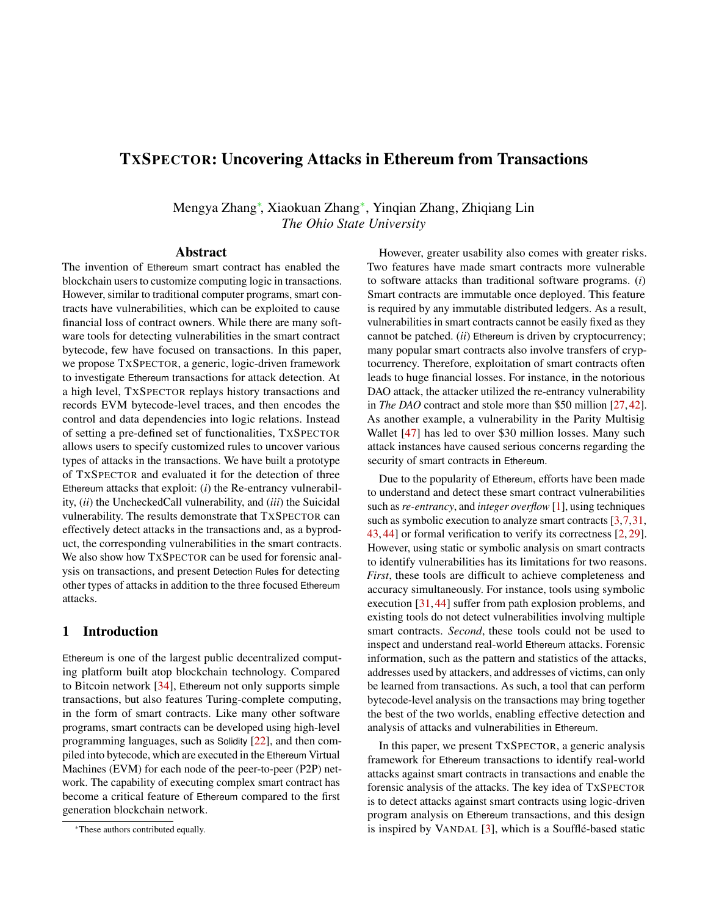# TXSPECTOR: Uncovering Attacks in Ethereum from Transactions

Mengya Zhang<sup>∗</sup> , Xiaokuan Zhang<sup>∗</sup> , Yinqian Zhang, Zhiqiang Lin *The Ohio State University*

#### Abstract

The invention of Ethereum smart contract has enabled the blockchain users to customize computing logic in transactions. However, similar to traditional computer programs, smart contracts have vulnerabilities, which can be exploited to cause financial loss of contract owners. While there are many software tools for detecting vulnerabilities in the smart contract bytecode, few have focused on transactions. In this paper, we propose TXSPECTOR, a generic, logic-driven framework to investigate Ethereum transactions for attack detection. At a high level, TXSPECTOR replays history transactions and records EVM bytecode-level traces, and then encodes the control and data dependencies into logic relations. Instead of setting a pre-defined set of functionalities, TXSPECTOR allows users to specify customized rules to uncover various types of attacks in the transactions. We have built a prototype of TXSPECTOR and evaluated it for the detection of three Ethereum attacks that exploit: (*i*) the Re-entrancy vulnerability, (*ii*) the UncheckedCall vulnerability, and (*iii*) the Suicidal vulnerability. The results demonstrate that TXSPECTOR can effectively detect attacks in the transactions and, as a byproduct, the corresponding vulnerabilities in the smart contracts. We also show how TXSPECTOR can be used for forensic analysis on transactions, and present Detection Rules for detecting other types of attacks in addition to the three focused Ethereum attacks.

#### 1 Introduction

Ethereum is one of the largest public decentralized computing platform built atop blockchain technology. Compared to Bitcoin network [\[34\]](#page-15-0), Ethereum not only supports simple transactions, but also features Turing-complete computing, in the form of smart contracts. Like many other software programs, smart contracts can be developed using high-level programming languages, such as Solidity [\[22\]](#page-15-1), and then compiled into bytecode, which are executed in the Ethereum Virtual Machines (EVM) for each node of the peer-to-peer (P2P) network. The capability of executing complex smart contract has become a critical feature of Ethereum compared to the first generation blockchain network.

However, greater usability also comes with greater risks. Two features have made smart contracts more vulnerable to software attacks than traditional software programs. (*i*) Smart contracts are immutable once deployed. This feature is required by any immutable distributed ledgers. As a result, vulnerabilities in smart contracts cannot be easily fixed as they cannot be patched. (*ii*) Ethereum is driven by cryptocurrency; many popular smart contracts also involve transfers of cryptocurrency. Therefore, exploitation of smart contracts often leads to huge financial losses. For instance, in the notorious DAO attack, the attacker utilized the re-entrancy vulnerability in *The DAO* contract and stole more than \$50 million [\[27,](#page-15-2)[42\]](#page-16-0). As another example, a vulnerability in the Parity Multisig Wallet [\[47\]](#page-16-1) has led to over \$30 million losses. Many such attack instances have caused serious concerns regarding the security of smart contracts in Ethereum.

Due to the popularity of Ethereum, efforts have been made to understand and detect these smart contract vulnerabilities such as *re-entrancy*, and *integer overflow* [\[1\]](#page-15-3), using techniques such as symbolic execution to analyze smart contracts [\[3,](#page-15-4)[7,](#page-15-5)[31,](#page-15-6) [43,](#page-16-2) [44\]](#page-16-3) or formal verification to verify its correctness [\[2,](#page-15-7) [29\]](#page-15-8). However, using static or symbolic analysis on smart contracts to identify vulnerabilities has its limitations for two reasons. *First*, these tools are difficult to achieve completeness and accuracy simultaneously. For instance, tools using symbolic execution [\[31,](#page-15-6) [44\]](#page-16-3) suffer from path explosion problems, and existing tools do not detect vulnerabilities involving multiple smart contracts. *Second*, these tools could not be used to inspect and understand real-world Ethereum attacks. Forensic information, such as the pattern and statistics of the attacks, addresses used by attackers, and addresses of victims, can only be learned from transactions. As such, a tool that can perform bytecode-level analysis on the transactions may bring together the best of the two worlds, enabling effective detection and analysis of attacks and vulnerabilities in Ethereum.

In this paper, we present TXSPECTOR, a generic analysis framework for Ethereum transactions to identify real-world attacks against smart contracts in transactions and enable the forensic analysis of the attacks. The key idea of TXSPECTOR is to detect attacks against smart contracts using logic-driven program analysis on Ethereum transactions, and this design is inspired by VANDAL [\[3\]](#page-15-4), which is a Soufflé-based static

<sup>∗</sup>These authors contributed equally.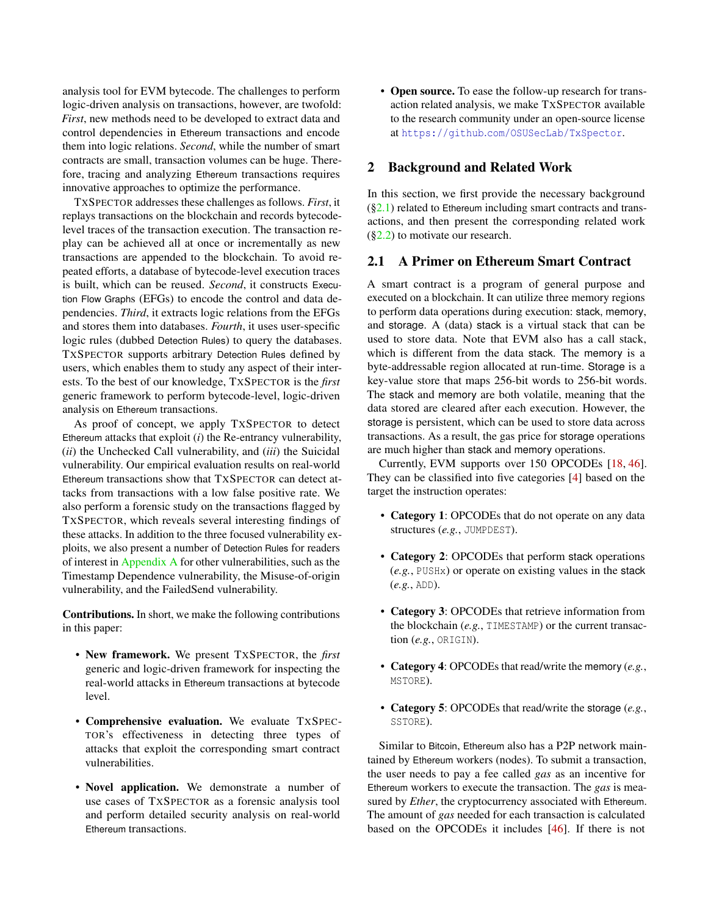analysis tool for EVM bytecode. The challenges to perform logic-driven analysis on transactions, however, are twofold: *First*, new methods need to be developed to extract data and control dependencies in Ethereum transactions and encode them into logic relations. *Second*, while the number of smart contracts are small, transaction volumes can be huge. Therefore, tracing and analyzing Ethereum transactions requires innovative approaches to optimize the performance.

TXSPECTOR addresses these challenges as follows. *First*, it replays transactions on the blockchain and records bytecodelevel traces of the transaction execution. The transaction replay can be achieved all at once or incrementally as new transactions are appended to the blockchain. To avoid repeated efforts, a database of bytecode-level execution traces is built, which can be reused. *Second*, it constructs Execution Flow Graphs (EFGs) to encode the control and data dependencies. *Third*, it extracts logic relations from the EFGs and stores them into databases. *Fourth*, it uses user-specific logic rules (dubbed Detection Rules) to query the databases. TXSPECTOR supports arbitrary Detection Rules defined by users, which enables them to study any aspect of their interests. To the best of our knowledge, TXSPECTOR is the *first* generic framework to perform bytecode-level, logic-driven analysis on Ethereum transactions.

As proof of concept, we apply TXSPECTOR to detect Ethereum attacks that exploit (*i*) the Re-entrancy vulnerability, (*ii*) the Unchecked Call vulnerability, and (*iii*) the Suicidal vulnerability. Our empirical evaluation results on real-world Ethereum transactions show that TXSPECTOR can detect attacks from transactions with a low false positive rate. We also perform a forensic study on the transactions flagged by TXSPECTOR, which reveals several interesting findings of these attacks. In addition to the three focused vulnerability exploits, we also present a number of Detection Rules for readers of interest in [Appendix A](#page-16-4) for other vulnerabilities, such as the Timestamp Dependence vulnerability, the Misuse-of-origin vulnerability, and the FailedSend vulnerability.

Contributions. In short, we make the following contributions in this paper:

- New framework. We present TXSPECTOR, the *first* generic and logic-driven framework for inspecting the real-world attacks in Ethereum transactions at bytecode level.
- Comprehensive evaluation. We evaluate TXSPEC-TOR's effectiveness in detecting three types of attacks that exploit the corresponding smart contract vulnerabilities.
- Novel application. We demonstrate a number of use cases of TXSPECTOR as a forensic analysis tool and perform detailed security analysis on real-world Ethereum transactions.

• Open source. To ease the follow-up research for transaction related analysis, we make TXSPECTOR available to the research community under an open-source license at https://github.[com/OSUSecLab/TxSpector](https://github.com/OSUSecLab/TxSpector).

#### 2 Background and Related Work

In this section, we first provide the necessary background  $(\S_2.1)$  related to Ethereum including smart contracts and transactions, and then present the corresponding related work  $(\S2.2)$  to motivate our research.

#### <span id="page-1-0"></span>2.1 A Primer on Ethereum Smart Contract

A smart contract is a program of general purpose and executed on a blockchain. It can utilize three memory regions to perform data operations during execution: stack, memory, and storage. A (data) stack is a virtual stack that can be used to store data. Note that EVM also has a call stack, which is different from the data stack. The memory is a byte-addressable region allocated at run-time. Storage is a key-value store that maps 256-bit words to 256-bit words. The stack and memory are both volatile, meaning that the data stored are cleared after each execution. However, the storage is persistent, which can be used to store data across transactions. As a result, the gas price for storage operations are much higher than stack and memory operations.

Currently, EVM supports over 150 OPCODEs [\[18,](#page-15-9) [46\]](#page-16-5). They can be classified into five categories [\[4\]](#page-15-10) based on the target the instruction operates:

- Category 1: OPCODEs that do not operate on any data structures (*e.g.*, JUMPDEST).
- Category 2: OPCODEs that perform stack operations (*e.g.*, PUSHx) or operate on existing values in the stack (*e.g.*, ADD).
- Category 3: OPCODEs that retrieve information from the blockchain (*e.g.*, TIMESTAMP) or the current transaction (*e.g.*, ORIGIN).
- Category 4: OPCODEs that read/write the memory (*e.g.*, MSTORE).
- Category 5: OPCODEs that read/write the storage (*e.g.*, SSTORE).

Similar to Bitcoin, Ethereum also has a P2P network maintained by Ethereum workers (nodes). To submit a transaction, the user needs to pay a fee called *gas* as an incentive for Ethereum workers to execute the transaction. The *gas* is measured by *Ether*, the cryptocurrency associated with Ethereum. The amount of *gas* needed for each transaction is calculated based on the OPCODEs it includes [\[46\]](#page-16-5). If there is not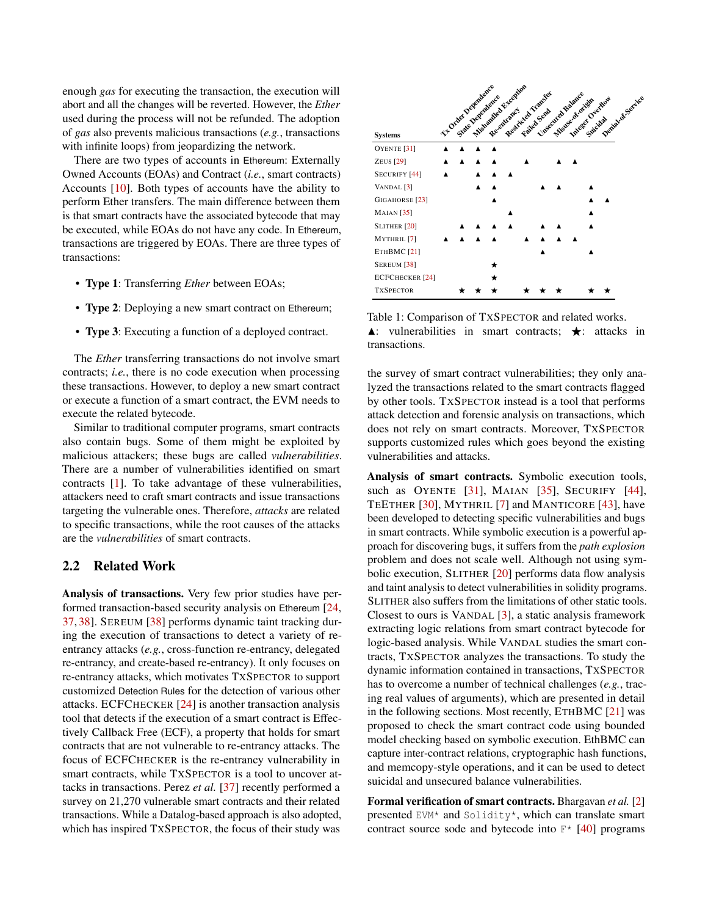enough *gas* for executing the transaction, the execution will abort and all the changes will be reverted. However, the *Ether* used during the process will not be refunded. The adoption of *gas* also prevents malicious transactions (*e.g.*, transactions with infinite loops) from jeopardizing the network.

There are two types of accounts in Ethereum: Externally Owned Accounts (EOAs) and Contract (*i.e.*, smart contracts) Accounts [\[10\]](#page-15-11). Both types of accounts have the ability to perform Ether transfers. The main difference between them is that smart contracts have the associated bytecode that may be executed, while EOAs do not have any code. In Ethereum, transactions are triggered by EOAs. There are three types of transactions:

- Type 1: Transferring *Ether* between EOAs;
- Type 2: Deploying a new smart contract on Ethereum;
- Type 3: Executing a function of a deployed contract.

The *Ether* transferring transactions do not involve smart contracts; *i.e.*, there is no code execution when processing these transactions. However, to deploy a new smart contract or execute a function of a smart contract, the EVM needs to execute the related bytecode.

Similar to traditional computer programs, smart contracts also contain bugs. Some of them might be exploited by malicious attackers; these bugs are called *vulnerabilities*. There are a number of vulnerabilities identified on smart contracts [\[1\]](#page-15-3). To take advantage of these vulnerabilities, attackers need to craft smart contracts and issue transactions targeting the vulnerable ones. Therefore, *attacks* are related to specific transactions, while the root causes of the attacks are the *vulnerabilities* of smart contracts.

### <span id="page-2-0"></span>2.2 Related Work

Analysis of transactions. Very few prior studies have performed transaction-based security analysis on Ethereum [\[24,](#page-15-12) [37,](#page-16-6) [38\]](#page-16-7). SEREUM [\[38\]](#page-16-7) performs dynamic taint tracking during the execution of transactions to detect a variety of reentrancy attacks (*e.g.*, cross-function re-entrancy, delegated re-entrancy, and create-based re-entrancy). It only focuses on re-entrancy attacks, which motivates TXSPECTOR to support customized Detection Rules for the detection of various other attacks. ECFCHECKER [\[24\]](#page-15-12) is another transaction analysis tool that detects if the execution of a smart contract is Effectively Callback Free (ECF), a property that holds for smart contracts that are not vulnerable to re-entrancy attacks. The focus of ECFCHECKER is the re-entrancy vulnerability in smart contracts, while TXSPECTOR is a tool to uncover attacks in transactions. Perez *et al.* [\[37\]](#page-16-6) recently performed a survey on 21,270 vulnerable smart contracts and their related transactions. While a Datalog-based approach is also adopted, which has inspired TXSPECTOR, the focus of their study was

<span id="page-2-1"></span>

| <b>Systems</b>            |  | Michael Back Heoplan<br>Tr Order Dependence<br>State Departments |   | Restricted Transfer | Lineeured Balance<br>Misukechiarigin |  | Integer Overhow | Denislat St. Service |
|---------------------------|--|------------------------------------------------------------------|---|---------------------|--------------------------------------|--|-----------------|----------------------|
| OYENTE <sup>[31]</sup>    |  |                                                                  |   |                     |                                      |  |                 |                      |
| <b>ZEUS</b> [29]          |  |                                                                  |   |                     |                                      |  |                 |                      |
| SECURIFY [44]             |  |                                                                  |   |                     |                                      |  |                 |                      |
| VANDAL <sup>[3]</sup>     |  |                                                                  |   |                     |                                      |  |                 |                      |
| GIGAHORSE <sup>[23]</sup> |  |                                                                  |   |                     |                                      |  |                 |                      |
| MAIAN [35]                |  |                                                                  |   |                     |                                      |  |                 |                      |
| SLITHER <sup>[20]</sup>   |  |                                                                  |   |                     |                                      |  |                 |                      |
| MYTHRIL <sup>[7]</sup>    |  |                                                                  |   |                     |                                      |  |                 |                      |
| ETHBMC <sup>[21]</sup>    |  |                                                                  |   |                     |                                      |  |                 |                      |
| SEREUM <sup>[38]</sup>    |  |                                                                  | ★ |                     |                                      |  |                 |                      |
| <b>ECFCHECKER</b> [24]    |  |                                                                  | ★ |                     |                                      |  |                 |                      |
| <b>TXSPECTOR</b>          |  |                                                                  |   |                     |                                      |  |                 |                      |

Table 1: Comparison of TXSPECTOR and related works.  $\blacktriangle$ : vulnerabilities in smart contracts;  $\bigstar$ : attacks in transactions.

the survey of smart contract vulnerabilities; they only analyzed the transactions related to the smart contracts flagged by other tools. TXSPECTOR instead is a tool that performs attack detection and forensic analysis on transactions, which does not rely on smart contracts. Moreover, TXSPECTOR supports customized rules which goes beyond the existing vulnerabilities and attacks.

Analysis of smart contracts. Symbolic execution tools, such as OYENTE [\[31\]](#page-15-6), MAIAN [\[35\]](#page-15-14), SECURIFY [\[44\]](#page-16-3), TEETHER [\[30\]](#page-15-17), MYTHRIL [\[7\]](#page-15-5) and MANTICORE [\[43\]](#page-16-2), have been developed to detecting specific vulnerabilities and bugs in smart contracts. While symbolic execution is a powerful approach for discovering bugs, it suffers from the *path explosion* problem and does not scale well. Although not using symbolic execution, SLITHER [\[20\]](#page-15-15) performs data flow analysis and taint analysis to detect vulnerabilities in solidity programs. SLITHER also suffers from the limitations of other static tools. Closest to ours is VANDAL [\[3\]](#page-15-4), a static analysis framework extracting logic relations from smart contract bytecode for logic-based analysis. While VANDAL studies the smart contracts, TXSPECTOR analyzes the transactions. To study the dynamic information contained in transactions, TXSPECTOR has to overcome a number of technical challenges (*e.g.*, tracing real values of arguments), which are presented in detail in the following sections. Most recently, ETHBMC [\[21\]](#page-15-16) was proposed to check the smart contract code using bounded model checking based on symbolic execution. EthBMC can capture inter-contract relations, cryptographic hash functions, and memcopy-style operations, and it can be used to detect suicidal and unsecured balance vulnerabilities.

Formal verification of smart contracts. Bhargavan *et al.* [\[2\]](#page-15-7) presented EVM\* and Solidity\*, which can translate smart contract source sode and bytecode into  $F^*$  [\[40\]](#page-16-8) programs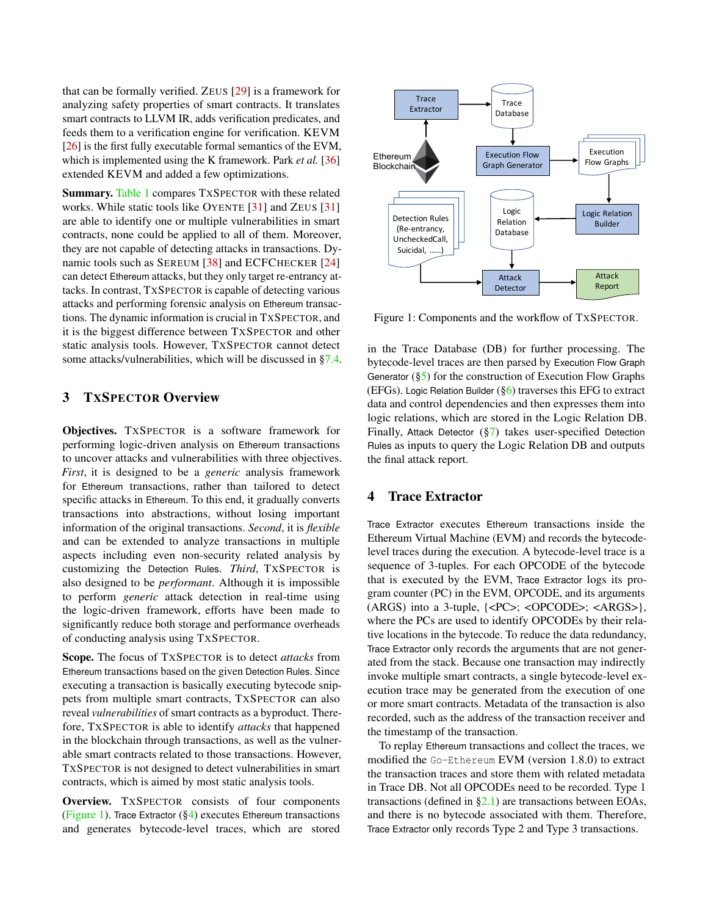that can be formally verified. ZEUS [\[29\]](#page-15-8) is a framework for analyzing safety properties of smart contracts. It translates smart contracts to LLVM IR, adds verification predicates, and feeds them to a verification engine for verification. KEVM [\[26\]](#page-15-18) is the first fully executable formal semantics of the EVM, which is implemented using the K framework. Park *et al.* [\[36\]](#page-15-19) extended KEVM and added a few optimizations.

Summary. [Table 1](#page-2-1) compares TXSPECTOR with these related works. While static tools like OYENTE [\[31\]](#page-15-6) and ZEUS [\[31\]](#page-15-6) are able to identify one or multiple vulnerabilities in smart contracts, none could be applied to all of them. Moreover, they are not capable of detecting attacks in transactions. Dynamic tools such as SEREUM [\[38\]](#page-16-7) and ECFCHECKER [\[24\]](#page-15-12) can detect Ethereum attacks, but they only target re-entrancy attacks. In contrast, TXSPECTOR is capable of detecting various attacks and performing forensic analysis on Ethereum transactions. The dynamic information is crucial in TXSPECTOR, and it is the biggest difference between TXSPECTOR and other static analysis tools. However, TXSPECTOR cannot detect some attacks/vulnerabilities, which will be discussed in [§7.4.](#page-7-0)

#### 3 TXSPECTOR Overview

Objectives. TXSPECTOR is a software framework for performing logic-driven analysis on Ethereum transactions to uncover attacks and vulnerabilities with three objectives. *First*, it is designed to be a *generic* analysis framework for Ethereum transactions, rather than tailored to detect specific attacks in Ethereum. To this end, it gradually converts transactions into abstractions, without losing important information of the original transactions. *Second*, it is *flexible* and can be extended to analyze transactions in multiple aspects including even non-security related analysis by customizing the Detection Rules. *Third*, TXSPECTOR is also designed to be *performant*. Although it is impossible to perform *generic* attack detection in real-time using the logic-driven framework, efforts have been made to significantly reduce both storage and performance overheads of conducting analysis using TXSPECTOR.

Scope. The focus of TXSPECTOR is to detect *attacks* from Ethereum transactions based on the given Detection Rules. Since executing a transaction is basically executing bytecode snippets from multiple smart contracts, TXSPECTOR can also reveal *vulnerabilities* of smart contracts as a byproduct. Therefore, TXSPECTOR is able to identify *attacks* that happened in the blockchain through transactions, as well as the vulnerable smart contracts related to those transactions. However, TXSPECTOR is not designed to detect vulnerabilities in smart contracts, which is aimed by most static analysis tools.

Overview. TXSPECTOR consists of four components [\(Figure 1\)](#page-3-0). Trace Extractor  $(\S 4)$  executes Ethereum transactions and generates bytecode-level traces, which are stored

<span id="page-3-0"></span>

Figure 1: Components and the workflow of TXSPECTOR.

in the Trace Database (DB) for further processing. The bytecode-level traces are then parsed by Execution Flow Graph Generator  $(\S 5)$  for the construction of Execution Flow Graphs (EFGs). Logic Relation Builder ( $\S6$ ) traverses this EFG to extract data and control dependencies and then expresses them into logic relations, which are stored in the Logic Relation DB. Finally, Attack Detector ([§7\)](#page-5-1) takes user-specified Detection Rules as inputs to query the Logic Relation DB and outputs the final attack report.

### <span id="page-3-1"></span>4 Trace Extractor

Trace Extractor executes Ethereum transactions inside the Ethereum Virtual Machine (EVM) and records the bytecodelevel traces during the execution. A bytecode-level trace is a sequence of 3-tuples. For each OPCODE of the bytecode that is executed by the EVM, Trace Extractor logs its program counter (PC) in the EVM, OPCODE, and its arguments (ARGS) into a 3-tuple, {<PC>; <OPCODE>; <ARGS>}, where the PCs are used to identify OPCODEs by their relative locations in the bytecode. To reduce the data redundancy, Trace Extractor only records the arguments that are not generated from the stack. Because one transaction may indirectly invoke multiple smart contracts, a single bytecode-level execution trace may be generated from the execution of one or more smart contracts. Metadata of the transaction is also recorded, such as the address of the transaction receiver and the timestamp of the transaction.

To replay Ethereum transactions and collect the traces, we modified the Go-Ethereum EVM (version 1.8.0) to extract the transaction traces and store them with related metadata in Trace DB. Not all OPCODEs need to be recorded. Type 1 transactions (defined in  $\S2.1$ ) are transactions between EOAs, and there is no bytecode associated with them. Therefore, Trace Extractor only records Type 2 and Type 3 transactions.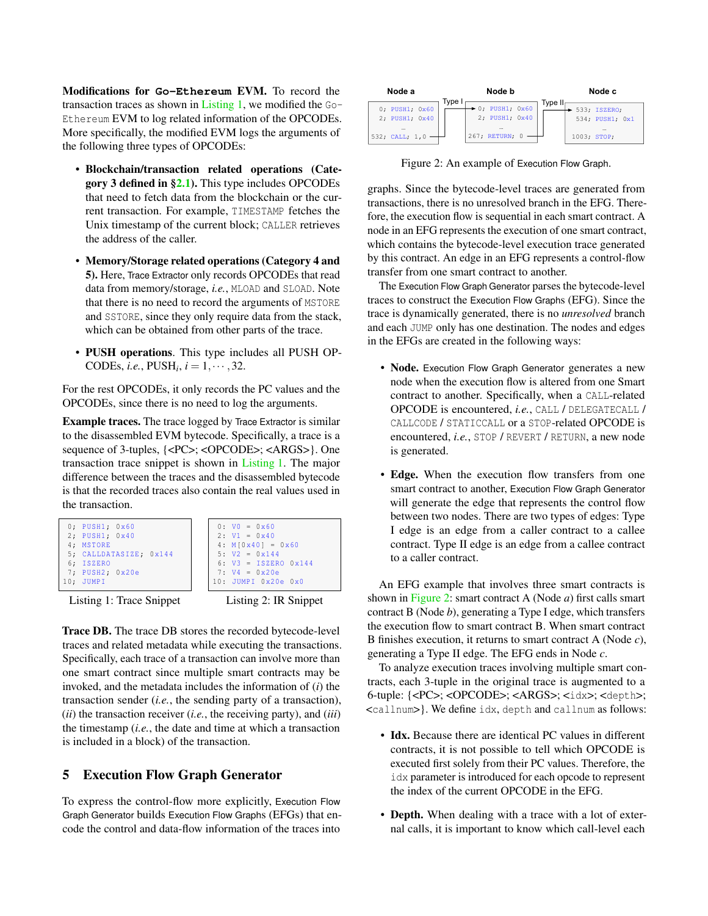Modifications for **Go-Ethereum** EVM. To record the transaction traces as shown in [Listing 1,](#page-4-1) we modified the Go-Ethereum EVM to log related information of the OPCODEs. More specifically, the modified EVM logs the arguments of the following three types of OPCODEs:

- Blockchain/transaction related operations (Category 3 defined in [§2.1\)](#page-1-0). This type includes OPCODEs that need to fetch data from the blockchain or the current transaction. For example, TIMESTAMP fetches the Unix timestamp of the current block; CALLER retrieves the address of the caller.
- Memory/Storage related operations (Category 4 and 5). Here, Trace Extractor only records OPCODEs that read data from memory/storage, *i.e.*, MLOAD and SLOAD. Note that there is no need to record the arguments of MSTORE and SSTORE, since they only require data from the stack, which can be obtained from other parts of the trace.
- PUSH operations. This type includes all PUSH OP-CODEs, *i.e.*, PUSH<sub>*i*</sub>,  $i = 1, \dots, 32$ .

For the rest OPCODEs, it only records the PC values and the OPCODEs, since there is no need to log the arguments.

Example traces. The trace logged by Trace Extractor is similar to the disassembled EVM bytecode. Specifically, a trace is a sequence of 3-tuples, {<PC>; <OPCODE>; <ARGS>}. One transaction trace snippet is shown in [Listing 1.](#page-4-1) The major difference between the traces and the disassembled bytecode is that the recorded traces also contain the real values used in the transaction.

<span id="page-4-1"></span>



<span id="page-4-3"></span>Listing 2: IR Snippet

Trace DB. The trace DB stores the recorded bytecode-level traces and related metadata while executing the transactions. Specifically, each trace of a transaction can involve more than one smart contract since multiple smart contracts may be invoked, and the metadata includes the information of (*i*) the transaction sender (*i.e.*, the sending party of a transaction), (*ii*) the transaction receiver (*i.e.*, the receiving party), and (*iii*) the timestamp (*i.e.*, the date and time at which a transaction is included in a block) of the transaction.

### <span id="page-4-0"></span>5 Execution Flow Graph Generator

To express the control-flow more explicitly, Execution Flow Graph Generator builds Execution Flow Graphs (EFGs) that encode the control and data-flow information of the traces into

<span id="page-4-2"></span>

Figure 2: An example of Execution Flow Graph.

graphs. Since the bytecode-level traces are generated from transactions, there is no unresolved branch in the EFG. Therefore, the execution flow is sequential in each smart contract. A node in an EFG represents the execution of one smart contract, which contains the bytecode-level execution trace generated by this contract. An edge in an EFG represents a control-flow transfer from one smart contract to another.

The Execution Flow Graph Generator parses the bytecode-level traces to construct the Execution Flow Graphs (EFG). Since the trace is dynamically generated, there is no *unresolved* branch and each JUMP only has one destination. The nodes and edges in the EFGs are created in the following ways:

- Node. Execution Flow Graph Generator generates a new node when the execution flow is altered from one Smart contract to another. Specifically, when a CALL-related OPCODE is encountered, *i.e.*, CALL / DELEGATECALL / CALLCODE / STATICCALL or a STOP-related OPCODE is encountered, *i.e.*, STOP / REVERT / RETURN, a new node is generated.
- Edge. When the execution flow transfers from one smart contract to another, Execution Flow Graph Generator will generate the edge that represents the control flow between two nodes. There are two types of edges: Type I edge is an edge from a caller contract to a callee contract. Type II edge is an edge from a callee contract to a caller contract.

An EFG example that involves three smart contracts is shown in [Figure 2:](#page-4-2) smart contract A (Node *a*) first calls smart contract B (Node *b*), generating a Type I edge, which transfers the execution flow to smart contract B. When smart contract B finishes execution, it returns to smart contract A (Node *c*), generating a Type II edge. The EFG ends in Node *c*.

To analyze execution traces involving multiple smart contracts, each 3-tuple in the original trace is augmented to a 6-tuple: {<PC>; <OPCODE>; <ARGS>; <idx>; <depth>; <callnum>}. We define idx, depth and callnum as follows:

- Idx. Because there are identical PC values in different contracts, it is not possible to tell which OPCODE is executed first solely from their PC values. Therefore, the idx parameter is introduced for each opcode to represent the index of the current OPCODE in the EFG.
- Depth. When dealing with a trace with a lot of external calls, it is important to know which call-level each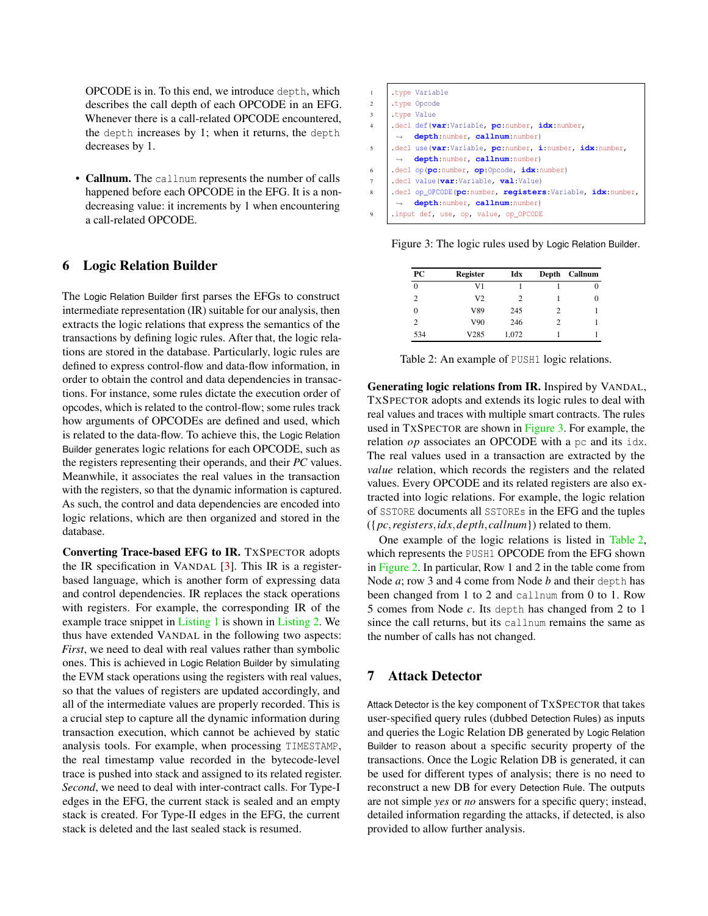OPCODE is in. To this end, we introduce depth, which describes the call depth of each OPCODE in an EFG. Whenever there is a call-related OPCODE encountered, the depth increases by 1; when it returns, the depth decreases by 1.

• Callnum. The callnum represents the number of calls happened before each OPCODE in the EFG. It is a nondecreasing value: it increments by 1 when encountering a call-related OPCODE.

### <span id="page-5-0"></span>6 Logic Relation Builder

The Logic Relation Builder first parses the EFGs to construct intermediate representation (IR) suitable for our analysis, then extracts the logic relations that express the semantics of the transactions by defining logic rules. After that, the logic relations are stored in the database. Particularly, logic rules are defined to express control-flow and data-flow information, in order to obtain the control and data dependencies in transactions. For instance, some rules dictate the execution order of opcodes, which is related to the control-flow; some rules track how arguments of OPCODEs are defined and used, which is related to the data-flow. To achieve this, the Logic Relation Builder generates logic relations for each OPCODE, such as the registers representing their operands, and their *PC* values. Meanwhile, it associates the real values in the transaction with the registers, so that the dynamic information is captured. As such, the control and data dependencies are encoded into logic relations, which are then organized and stored in the database.

Converting Trace-based EFG to IR. TXSPECTOR adopts the IR specification in VANDAL [\[3\]](#page-15-4). This IR is a registerbased language, which is another form of expressing data and control dependencies. IR replaces the stack operations with registers. For example, the corresponding IR of the example trace snippet in [Listing 1](#page-4-1) is shown in [Listing 2.](#page-4-3) We thus have extended VANDAL in the following two aspects: *First*, we need to deal with real values rather than symbolic ones. This is achieved in Logic Relation Builder by simulating the EVM stack operations using the registers with real values, so that the values of registers are updated accordingly, and all of the intermediate values are properly recorded. This is a crucial step to capture all the dynamic information during transaction execution, which cannot be achieved by static analysis tools. For example, when processing TIMESTAMP, the real timestamp value recorded in the bytecode-level trace is pushed into stack and assigned to its related register. *Second*, we need to deal with inter-contract calls. For Type-I edges in the EFG, the current stack is sealed and an empty stack is created. For Type-II edges in the EFG, the current stack is deleted and the last sealed stack is resumed.

<span id="page-5-2"></span>

| 1                        | type Variable                                                                                          |
|--------------------------|--------------------------------------------------------------------------------------------------------|
| 2                        | type Opcode                                                                                            |
| $\overline{\mathbf{3}}$  | type Value                                                                                             |
| $\overline{4}$           | $\text{decl def}(\textbf{var};\text{Variable}, \textbf{pc};\text{number}, \textbf{idx};\text{number})$ |
|                          | depth: number, callnum: number)<br>$\longrightarrow$                                                   |
| $\overline{\phantom{0}}$ | $.$ decl use (var: Variable, pc: number, i: number, idx: number,                                       |
|                          | depth: number, callnum: number)<br>$\hookrightarrow$                                                   |
| 6                        | $\cdot$ decl op( $pc$ ; number, $op$ ; Opcode, $idx$ ; number)                                         |
| $\overline{7}$           | decl value (var:Variable, val:Value)                                                                   |
| 8                        | .decl op_OPCODE(pc:number, registers:Variable, idx:number,                                             |
|                          | depth: number, callnum: number)<br>$\rightarrow$                                                       |
| 9                        | .input def, use, op, value, op_OPCODE                                                                  |

<span id="page-5-3"></span>Figure 3: The logic rules used by Logic Relation Builder.

| PC  | Register       | Idx   | Depth | Callnum |
|-----|----------------|-------|-------|---------|
| 0   | V1             |       |       |         |
| 2   | V <sub>2</sub> | 2     |       | 0       |
| 0   | V89            | 245   | 2     |         |
| 2   | V90            | 246   | 2     |         |
| 534 | V285           | 1,072 |       |         |

Table 2: An example of PUSH1 logic relations.

Generating logic relations from IR. Inspired by VANDAL, TXSPECTOR adopts and extends its logic rules to deal with real values and traces with multiple smart contracts. The rules used in TXSPECTOR are shown in [Figure 3.](#page-5-2) For example, the relation *op* associates an OPCODE with a pc and its idx. The real values used in a transaction are extracted by the *value* relation, which records the registers and the related values. Every OPCODE and its related registers are also extracted into logic relations. For example, the logic relation of SSTORE documents all SSTOREs in the EFG and the tuples ({*pc*,*registers*,*idx*,*depth*, *callnum*}) related to them.

One example of the logic relations is listed in [Table 2,](#page-5-3) which represents the PUSH1 OPCODE from the EFG shown in [Figure 2.](#page-4-2) In particular, Row 1 and 2 in the table come from Node *a*; row 3 and 4 come from Node *b* and their depth has been changed from 1 to 2 and callnum from 0 to 1. Row 5 comes from Node *c*. Its depth has changed from 2 to 1 since the call returns, but its callnum remains the same as the number of calls has not changed.

### <span id="page-5-1"></span>7 Attack Detector

Attack Detector is the key component of TXSPECTOR that takes user-specified query rules (dubbed Detection Rules) as inputs and queries the Logic Relation DB generated by Logic Relation Builder to reason about a specific security property of the transactions. Once the Logic Relation DB is generated, it can be used for different types of analysis; there is no need to reconstruct a new DB for every Detection Rule. The outputs are not simple *yes* or *no* answers for a specific query; instead, detailed information regarding the attacks, if detected, is also provided to allow further analysis.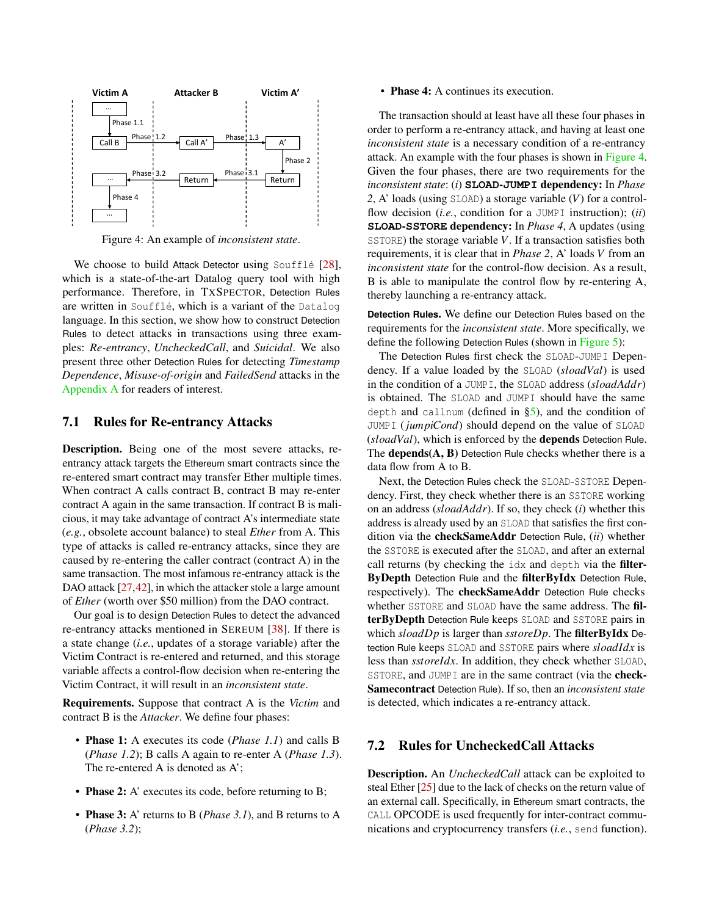<span id="page-6-0"></span>

Figure 4: An example of *inconsistent state*.

We choose to build Attack Detector using Soufflé [\[28\]](#page-15-20), which is a state-of-the-art Datalog query tool with high performance. Therefore, in TXSPECTOR, Detection Rules are written in Soufflé, which is a variant of the Datalog language. In this section, we show how to construct Detection Rules to detect attacks in transactions using three examples: *Re-entrancy*, *UncheckedCall*, and *Suicidal*. We also present three other Detection Rules for detecting *Timestamp Dependence*, *Misuse-of-origin* and *FailedSend* attacks in the [Appendix A](#page-16-4) for readers of interest.

#### <span id="page-6-1"></span>7.1 Rules for Re-entrancy Attacks

Description. Being one of the most severe attacks, reentrancy attack targets the Ethereum smart contracts since the re-entered smart contract may transfer Ether multiple times. When contract A calls contract B, contract B may re-enter contract A again in the same transaction. If contract B is malicious, it may take advantage of contract A's intermediate state (*e.g.*, obsolete account balance) to steal *Ether* from A. This type of attacks is called re-entrancy attacks, since they are caused by re-entering the caller contract (contract A) in the same transaction. The most infamous re-entrancy attack is the DAO attack [\[27,](#page-15-2)[42\]](#page-16-0), in which the attacker stole a large amount of *Ether* (worth over \$50 million) from the DAO contract.

Our goal is to design Detection Rules to detect the advanced re-entrancy attacks mentioned in SEREUM [\[38\]](#page-16-7). If there is a state change (*i.e.*, updates of a storage variable) after the Victim Contract is re-entered and returned, and this storage variable affects a control-flow decision when re-entering the Victim Contract, it will result in an *inconsistent state*.

Requirements. Suppose that contract A is the *Victim* and contract B is the *Attacker*. We define four phases:

- Phase 1: A executes its code (*Phase 1.1*) and calls B (*Phase 1.2*); B calls A again to re-enter A (*Phase 1.3*). The re-entered A is denoted as A';
- **Phase 2:** A' executes its code, before returning to B;
- Phase 3: A' returns to B (*Phase 3.1*), and B returns to A (*Phase 3.2*);

#### • Phase 4: A continues its execution.

The transaction should at least have all these four phases in order to perform a re-entrancy attack, and having at least one *inconsistent state* is a necessary condition of a re-entrancy attack. An example with the four phases is shown in [Figure 4.](#page-6-0) Given the four phases, there are two requirements for the *inconsistent state*: (*i*) **SLOAD**-**JUMPI** dependency: In *Phase 2*, A' loads (using SLOAD) a storage variable (*V*) for a controlflow decision (*i.e.*, condition for a JUMPI instruction); (*ii*) **SLOAD**-**SSTORE** dependency: In *Phase 4*, A updates (using SSTORE) the storage variable *V*. If a transaction satisfies both requirements, it is clear that in *Phase 2*, A' loads *V* from an *inconsistent state* for the control-flow decision. As a result, B is able to manipulate the control flow by re-entering A, thereby launching a re-entrancy attack.

**Detection Rules**. We define our Detection Rules based on the requirements for the *inconsistent state*. More specifically, we define the following Detection Rules (shown in [Figure 5\)](#page-7-1):

The Detection Rules first check the SLOAD-JUMPI Dependency. If a value loaded by the SLOAD (*sloadVal*) is used in the condition of a JUMPI, the SLOAD address (*sloadAddr*) is obtained. The SLOAD and JUMPI should have the same depth and callnum (defined in [§5\)](#page-4-0), and the condition of JUMPI (*jumpiCond*) should depend on the value of SLOAD (*sloadVal*), which is enforced by the depends Detection Rule. The **depends** $(A, B)$  Detection Rule checks whether there is a data flow from A to B.

Next, the Detection Rules check the SLOAD-SSTORE Dependency. First, they check whether there is an SSTORE working on an address (*sloadAddr*). If so, they check (*i*) whether this address is already used by an SLOAD that satisfies the first condition via the checkSameAddr Detection Rule, (*ii*) whether the SSTORE is executed after the SLOAD, and after an external call returns (by checking the idx and depth via the filter-ByDepth Detection Rule and the filterByIdx Detection Rule, respectively). The checkSameAddr Detection Rule checks whether SSTORE and SLOAD have the same address. The filterByDepth Detection Rule keeps SLOAD and SSTORE pairs in which *sloadDp* is larger than *sstoreDp*. The filterByIdx Detection Rule keeps SLOAD and SSTORE pairs where *sloadIdx* is less than *sstoreIdx*. In addition, they check whether SLOAD, SSTORE, and JUMPI are in the same contract (via the check-Samecontract Detection Rule). If so, then an *inconsistent state* is detected, which indicates a re-entrancy attack.

### 7.2 Rules for UncheckedCall Attacks

Description. An *UncheckedCall* attack can be exploited to steal Ether [\[25\]](#page-15-21) due to the lack of checks on the return value of an external call. Specifically, in Ethereum smart contracts, the CALL OPCODE is used frequently for inter-contract communications and cryptocurrency transfers (*i.e.*, send function).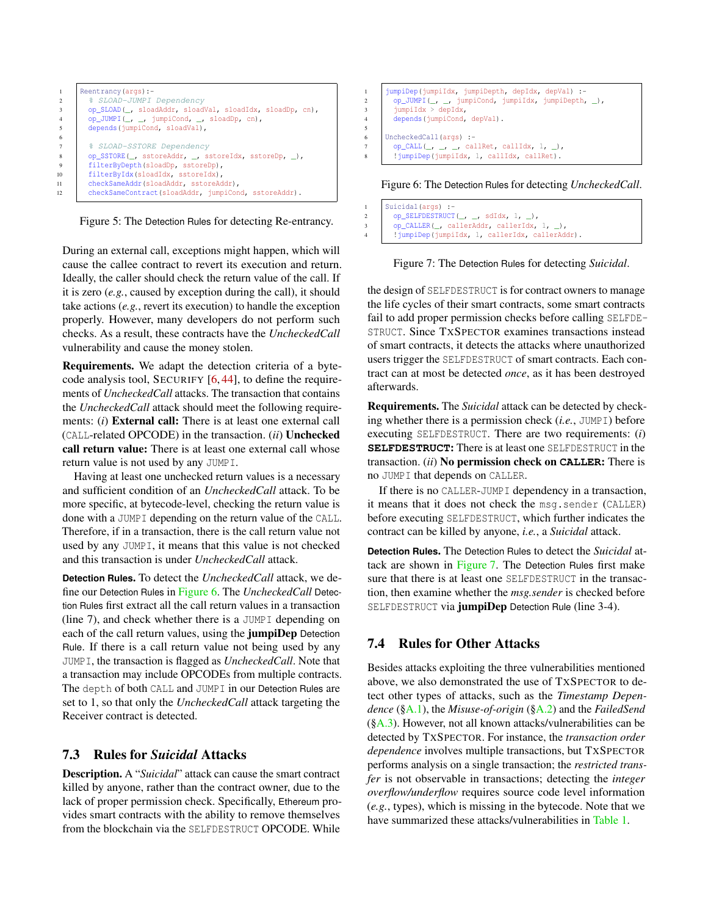<span id="page-7-1"></span>

| $\mathbf{1}$<br>2<br>$\overline{3}$ | Reentrancy $(args)$ :-<br>% SLOAD-JUMPI Dependency<br>op_SLOAD(_, sloadAddr, sloadVal, sloadIdx, sloadDp, cn), |
|-------------------------------------|----------------------------------------------------------------------------------------------------------------|
| $\overline{4}$                      | op_JUMPI $(\_$ , $\_$ , jumpiCond, $\_$ , sloadDp, cn),                                                        |
| 5                                   | depends(jumpiCond, sloadVal),                                                                                  |
| -6                                  |                                                                                                                |
| $7\phantom{.0}$                     | % SLOAD-SSTORE Dependency                                                                                      |
| 8                                   | op_SSTORE(_, sstoreAddr, _, sstoreIdx, sstoreDp, _),                                                           |
| $\overline{9}$                      | filterByDepth(sloadDp, sstoreDp),                                                                              |
| 10                                  | filterByIdx(sloadIdx, sstoreIdx),                                                                              |
| 11                                  | checkSameAddr(sloadAddr, sstoreAddr),                                                                          |
| 12                                  | checkSameContract(sloadAddr, jumpiCond, sstoreAddr).                                                           |
|                                     |                                                                                                                |

Figure 5: The Detection Rules for detecting Re-entrancy.

During an external call, exceptions might happen, which will cause the callee contract to revert its execution and return. Ideally, the caller should check the return value of the call. If it is zero (*e.g.*, caused by exception during the call), it should take actions (*e.g.*, revert its execution) to handle the exception properly. However, many developers do not perform such checks. As a result, these contracts have the *UncheckedCall* vulnerability and cause the money stolen.

Requirements. We adapt the detection criteria of a bytecode analysis tool, SECURIFY [\[6,](#page-15-22) [44\]](#page-16-3), to define the requirements of *UncheckedCall* attacks. The transaction that contains the *UncheckedCall* attack should meet the following requirements: (*i*) External call: There is at least one external call (CALL-related OPCODE) in the transaction. (*ii*) Unchecked call return value: There is at least one external call whose return value is not used by any JUMPI.

Having at least one unchecked return values is a necessary and sufficient condition of an *UncheckedCall* attack. To be more specific, at bytecode-level, checking the return value is done with a JUMPI depending on the return value of the CALL. Therefore, if in a transaction, there is the call return value not used by any JUMPI, it means that this value is not checked and this transaction is under *UncheckedCall* attack.

**Detection Rules**. To detect the *UncheckedCall* attack, we define our Detection Rules in [Figure 6.](#page-7-2) The *UncheckedCall* Detection Rules first extract all the call return values in a transaction (line 7), and check whether there is a JUMPI depending on each of the call return values, using the jumpiDep Detection Rule. If there is a call return value not being used by any JUMPI, the transaction is flagged as *UncheckedCall*. Note that a transaction may include OPCODEs from multiple contracts. The depth of both CALL and JUMPI in our Detection Rules are set to 1, so that only the *UncheckedCall* attack targeting the Receiver contract is detected.

### 7.3 Rules for *Suicidal* Attacks

Description. A "*Suicidal*" attack can cause the smart contract killed by anyone, rather than the contract owner, due to the lack of proper permission check. Specifically, Ethereum provides smart contracts with the ability to remove themselves from the blockchain via the SELFDESTRUCT OPCODE. While

<span id="page-7-2"></span>

|                | jumpiDep(jumpiIdx, jumpiDepth, depIdx, depVal) :-                |
|----------------|------------------------------------------------------------------|
| $\overline{c}$ | op_JUMPI $(\_$ , $\_$ , jumpiCond, jumpiIdx, jumpiDepth, $\_)$ , |
| 3              | $\text{jumpidx} > \text{depth}$                                  |
| 4              | depends(jumpiCond, depVal).                                      |
| 5              |                                                                  |
| 6              | UncheckedCall(args) :-                                           |
|                | op_CALL(_, _, _, callRet, callIdx, 1, _),                        |
| 8              | !jumpiDep(jumpiIdx, 1, callIdx, callRet).                        |
|                |                                                                  |

Figure 6: The Detection Rules for detecting *UncheckedCall*.

```
Suicidal(args) :-
2 op_SELFDESTRUCT(_, _, sdIdx, 1, _),
3 op_CALLER(_, callerAddr, callerIdx, 1, _),
       4 !jumpiDep(jumpiIdx, 1, callerIdx, callerAddr).
```
Figure 7: The Detection Rules for detecting *Suicidal*.

the design of SELFDESTRUCT is for contract owners to manage the life cycles of their smart contracts, some smart contracts fail to add proper permission checks before calling SELFDE-STRUCT. Since TXSPECTOR examines transactions instead of smart contracts, it detects the attacks where unauthorized users trigger the SELFDESTRUCT of smart contracts. Each contract can at most be detected *once*, as it has been destroyed afterwards.

Requirements. The *Suicidal* attack can be detected by checking whether there is a permission check (*i.e.*, JUMPI) before executing SELFDESTRUCT. There are two requirements: (*i*) **SELFDESTRUCT**: There is at least one SELFDESTRUCT in the transaction. (*ii*) No permission check on **CALLER**: There is no JUMPI that depends on CALLER.

If there is no CALLER-JUMPI dependency in a transaction, it means that it does not check the msg.sender (CALLER) before executing SELFDESTRUCT, which further indicates the contract can be killed by anyone, *i.e.*, a *Suicidal* attack.

**Detection Rules**. The Detection Rules to detect the *Suicidal* attack are shown in [Figure 7.](#page-7-3) The Detection Rules first make sure that there is at least one SELFDESTRUCT in the transaction, then examine whether the *msg.sender* is checked before SELFDESTRUCT via jumpiDep Detection Rule (line 3-4).

## <span id="page-7-0"></span>7.4 Rules for Other Attacks

Besides attacks exploiting the three vulnerabilities mentioned above, we also demonstrated the use of TXSPECTOR to detect other types of attacks, such as the *Timestamp Dependence* ([§A.1\)](#page-16-9), the *Misuse-of-origin* ([§A.2\)](#page-16-10) and the *FailedSend*  $(\S A.3)$ . However, not all known attacks/vulnerabilities can be detected by TXSPECTOR. For instance, the *transaction order dependence* involves multiple transactions, but TXSPECTOR performs analysis on a single transaction; the *restricted transfer* is not observable in transactions; detecting the *integer overflow/underflow* requires source code level information (*e.g.*, types), which is missing in the bytecode. Note that we have summarized these attacks/vulnerabilities in [Table 1.](#page-2-1)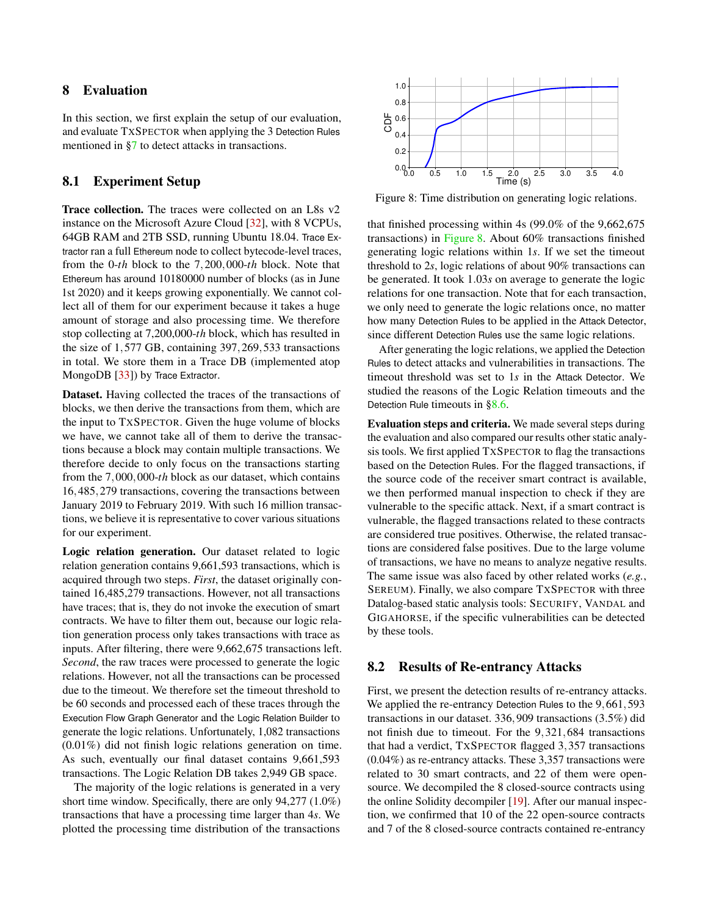### 8 Evaluation

In this section, we first explain the setup of our evaluation, and evaluate TXSPECTOR when applying the 3 Detection Rules mentioned in [§7](#page-5-1) to detect attacks in transactions.

### <span id="page-8-2"></span>8.1 Experiment Setup

Trace collection. The traces were collected on an L8s v2 instance on the Microsoft Azure Cloud [\[32\]](#page-15-23), with 8 VCPUs, 64GB RAM and 2TB SSD, running Ubuntu 18.04. Trace Extractor ran a full Ethereum node to collect bytecode-level traces, from the 0-*th* block to the 7,200,000-*th* block. Note that Ethereum has around 10180000 number of blocks (as in June 1st 2020) and it keeps growing exponentially. We cannot collect all of them for our experiment because it takes a huge amount of storage and also processing time. We therefore stop collecting at 7,200,000-*th* block, which has resulted in the size of 1,577 GB, containing 397,269,533 transactions in total. We store them in a Trace DB (implemented atop MongoDB [\[33\]](#page-15-24)) by Trace Extractor.

Dataset. Having collected the traces of the transactions of blocks, we then derive the transactions from them, which are the input to TXSPECTOR. Given the huge volume of blocks we have, we cannot take all of them to derive the transactions because a block may contain multiple transactions. We therefore decide to only focus on the transactions starting from the 7,000,000-*th* block as our dataset, which contains 16,485,279 transactions, covering the transactions between January 2019 to February 2019. With such 16 million transactions, we believe it is representative to cover various situations for our experiment.

Logic relation generation. Our dataset related to logic relation generation contains 9,661,593 transactions, which is acquired through two steps. *First*, the dataset originally contained 16,485,279 transactions. However, not all transactions have traces; that is, they do not invoke the execution of smart contracts. We have to filter them out, because our logic relation generation process only takes transactions with trace as inputs. After filtering, there were 9,662,675 transactions left. *Second*, the raw traces were processed to generate the logic relations. However, not all the transactions can be processed due to the timeout. We therefore set the timeout threshold to be 60 seconds and processed each of these traces through the Execution Flow Graph Generator and the Logic Relation Builder to generate the logic relations. Unfortunately, 1,082 transactions (0.01%) did not finish logic relations generation on time. As such, eventually our final dataset contains 9,661,593 transactions. The Logic Relation DB takes 2,949 GB space.

The majority of the logic relations is generated in a very short time window. Specifically, there are only 94,277 (1.0%) transactions that have a processing time larger than 4*s*. We plotted the processing time distribution of the transactions

<span id="page-8-0"></span>

Figure 8: Time distribution on generating logic relations.

that finished processing within 4s (99.0% of the 9,662,675 transactions) in [Figure 8.](#page-8-0) About 60% transactions finished generating logic relations within 1*s*. If we set the timeout threshold to 2*s*, logic relations of about 90% transactions can be generated. It took 1.03*s* on average to generate the logic relations for one transaction. Note that for each transaction, we only need to generate the logic relations once, no matter how many Detection Rules to be applied in the Attack Detector, since different Detection Rules use the same logic relations.

After generating the logic relations, we applied the Detection Rules to detect attacks and vulnerabilities in transactions. The timeout threshold was set to 1*s* in the Attack Detector. We studied the reasons of the Logic Relation timeouts and the Detection Rule timeouts in [§8.6.](#page-11-0)

Evaluation steps and criteria. We made several steps during the evaluation and also compared our results other static analysis tools. We first applied TXSPECTOR to flag the transactions based on the Detection Rules. For the flagged transactions, if the source code of the receiver smart contract is available, we then performed manual inspection to check if they are vulnerable to the specific attack. Next, if a smart contract is vulnerable, the flagged transactions related to these contracts are considered true positives. Otherwise, the related transactions are considered false positives. Due to the large volume of transactions, we have no means to analyze negative results. The same issue was also faced by other related works (*e.g.*, SEREUM). Finally, we also compare TXSPECTOR with three Datalog-based static analysis tools: SECURIFY, VANDAL and GIGAHORSE, if the specific vulnerabilities can be detected by these tools.

### <span id="page-8-1"></span>8.2 Results of Re-entrancy Attacks

First, we present the detection results of re-entrancy attacks. We applied the re-entrancy Detection Rules to the 9,661,593 transactions in our dataset. 336,909 transactions (3.5%) did not finish due to timeout. For the 9,321,684 transactions that had a verdict, TXSPECTOR flagged 3,357 transactions (0.04%) as re-entrancy attacks. These 3,357 transactions were related to 30 smart contracts, and 22 of them were opensource. We decompiled the 8 closed-source contracts using the online Solidity decompiler [\[19\]](#page-15-25). After our manual inspection, we confirmed that 10 of the 22 open-source contracts and 7 of the 8 closed-source contracts contained re-entrancy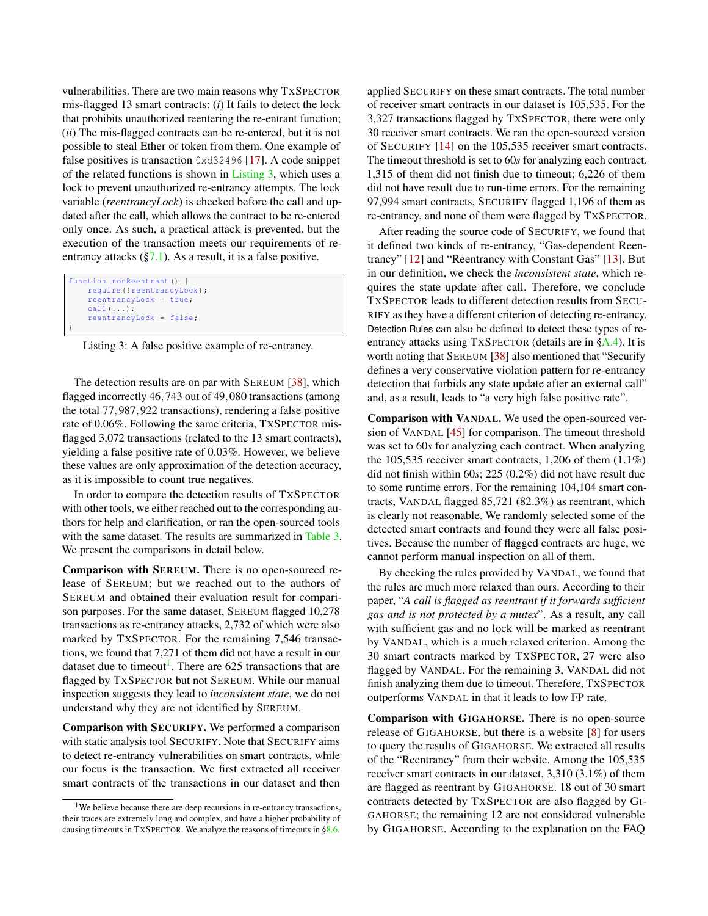vulnerabilities. There are two main reasons why TXSPECTOR mis-flagged 13 smart contracts: (*i*) It fails to detect the lock that prohibits unauthorized reentering the re-entrant function; (*ii*) The mis-flagged contracts can be re-entered, but it is not possible to steal Ether or token from them. One example of false positives is transaction 0xd32496 [\[17\]](#page-15-26). A code snippet of the related functions is shown in [Listing 3,](#page-9-0) which uses a lock to prevent unauthorized re-entrancy attempts. The lock variable (*reentrancyLock*) is checked before the call and updated after the call, which allows the contract to be re-entered only once. As such, a practical attack is prevented, but the execution of the transaction meets our requirements of reentrancy attacks  $(\frac{5}{7.1})$ . As a result, it is a false positive.

```
function nonReentrant () {
    require (! reentrancyLock );
    reentrancyLock = true;
    call(...):reentrancyLock = false;
}
```
Listing 3: A false positive example of re-entrancy.

The detection results are on par with SEREUM [\[38\]](#page-16-7), which flagged incorrectly 46,743 out of 49,080 transactions (among the total 77,987,922 transactions), rendering a false positive rate of 0.06%. Following the same criteria, TXSPECTOR misflagged 3,072 transactions (related to the 13 smart contracts), yielding a false positive rate of 0.03%. However, we believe these values are only approximation of the detection accuracy, as it is impossible to count true negatives.

In order to compare the detection results of TXSPECTOR with other tools, we either reached out to the corresponding authors for help and clarification, or ran the open-sourced tools with the same dataset. The results are summarized in [Table 3.](#page-10-0) We present the comparisons in detail below.

Comparison with SEREUM. There is no open-sourced release of SEREUM; but we reached out to the authors of SEREUM and obtained their evaluation result for comparison purposes. For the same dataset, SEREUM flagged 10,278 transactions as re-entrancy attacks, 2,732 of which were also marked by TXSPECTOR. For the remaining 7,546 transactions, we found that 7,271 of them did not have a result in our dataset due to timeout<sup>[1](#page-9-1)</sup>. There are  $625$  transactions that are flagged by TXSPECTOR but not SEREUM. While our manual inspection suggests they lead to *inconsistent state*, we do not understand why they are not identified by SEREUM.

Comparison with SECURIFY. We performed a comparison with static analysis tool SECURIFY. Note that SECURIFY aims to detect re-entrancy vulnerabilities on smart contracts, while our focus is the transaction. We first extracted all receiver smart contracts of the transactions in our dataset and then

applied SECURIFY on these smart contracts. The total number of receiver smart contracts in our dataset is 105,535. For the 3,327 transactions flagged by TXSPECTOR, there were only 30 receiver smart contracts. We ran the open-sourced version of SECURIFY [\[14\]](#page-15-27) on the 105,535 receiver smart contracts. The timeout threshold is set to 60*s* for analyzing each contract. 1,315 of them did not finish due to timeout; 6,226 of them did not have result due to run-time errors. For the remaining 97,994 smart contracts, SECURIFY flagged 1,196 of them as re-entrancy, and none of them were flagged by TXSPECTOR.

After reading the source code of SECURIFY, we found that it defined two kinds of re-entrancy, "Gas-dependent Reentrancy" [\[12\]](#page-15-28) and "Reentrancy with Constant Gas" [\[13\]](#page-15-29). But in our definition, we check the *inconsistent state*, which requires the state update after call. Therefore, we conclude TXSPECTOR leads to different detection results from SECU-RIFY as they have a different criterion of detecting re-entrancy. Detection Rules can also be defined to detect these types of reentrancy attacks using TXSPECTOR (details are in [§A.4\)](#page-17-1). It is worth noting that SEREUM [\[38\]](#page-16-7) also mentioned that "Securify defines a very conservative violation pattern for re-entrancy detection that forbids any state update after an external call" and, as a result, leads to "a very high false positive rate".

Comparison with VANDAL. We used the open-sourced version of VANDAL [\[45\]](#page-16-11) for comparison. The timeout threshold was set to 60*s* for analyzing each contract. When analyzing the 105,535 receiver smart contracts, 1,206 of them  $(1.1\%)$ did not finish within 60*s*; 225 (0.2%) did not have result due to some runtime errors. For the remaining 104,104 smart contracts, VANDAL flagged 85,721 (82.3%) as reentrant, which is clearly not reasonable. We randomly selected some of the detected smart contracts and found they were all false positives. Because the number of flagged contracts are huge, we cannot perform manual inspection on all of them.

By checking the rules provided by VANDAL, we found that the rules are much more relaxed than ours. According to their paper, "*A call is flagged as reentrant if it forwards sufficient gas and is not protected by a mutex*". As a result, any call with sufficient gas and no lock will be marked as reentrant by VANDAL, which is a much relaxed criterion. Among the 30 smart contracts marked by TXSPECTOR, 27 were also flagged by VANDAL. For the remaining 3, VANDAL did not finish analyzing them due to timeout. Therefore, TXSPECTOR outperforms VANDAL in that it leads to low FP rate.

Comparison with GIGAHORSE. There is no open-source release of GIGAHORSE, but there is a website [\[8\]](#page-15-30) for users to query the results of GIGAHORSE. We extracted all results of the "Reentrancy" from their website. Among the 105,535 receiver smart contracts in our dataset, 3,310 (3.1%) of them are flagged as reentrant by GIGAHORSE. 18 out of 30 smart contracts detected by TXSPECTOR are also flagged by GI-GAHORSE; the remaining 12 are not considered vulnerable by GIGAHORSE. According to the explanation on the FAQ

<span id="page-9-1"></span><sup>&</sup>lt;sup>1</sup>We believe because there are deep recursions in re-entrancy transactions, their traces are extremely long and complex, and have a higher probability of causing timeouts in TXSPECTOR. We analyze the reasons of timeouts in [§8.6.](#page-11-0)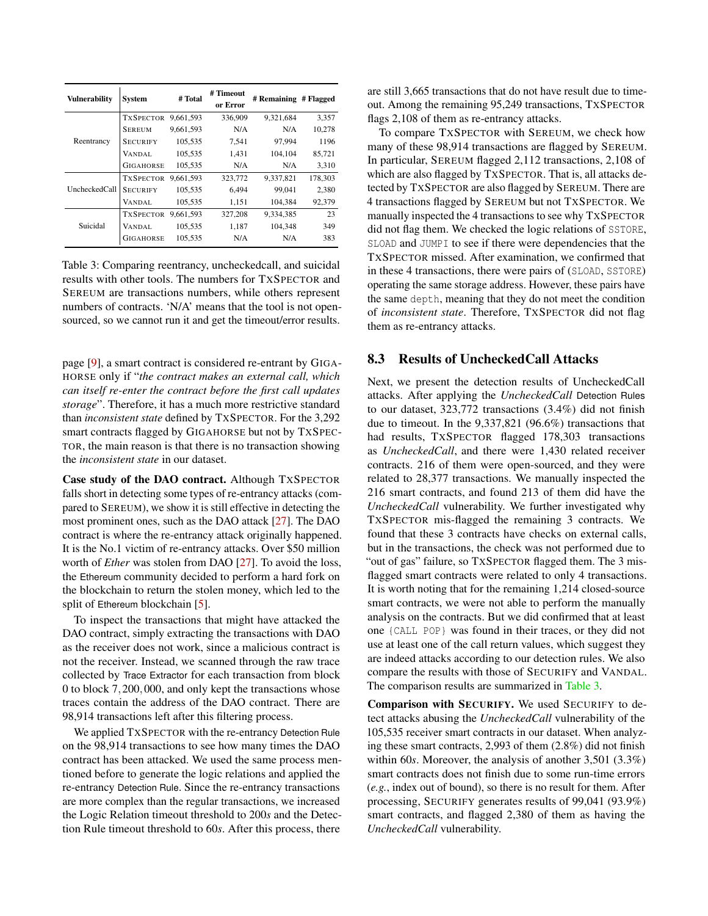<span id="page-10-0"></span>

| <b>Vulnerability</b> | <b>System</b>    | # Total   | # Timeout<br>or Error | # Remaining # Flagged |         |
|----------------------|------------------|-----------|-----------------------|-----------------------|---------|
|                      | <b>TXSPECTOR</b> | 9.661.593 | 336,909               | 9.321.684             | 3,357   |
|                      | <b>SEREUM</b>    | 9,661,593 | N/A                   | N/A                   | 10,278  |
| Reentrancy           | <b>SECURIFY</b>  | 105.535   | 7.541                 | 97.994                | 1196    |
|                      | VANDAL           | 105,535   | 1,431                 | 104.104               | 85,721  |
|                      | <b>GIGAHORSE</b> | 105,535   | N/A                   | N/A                   | 3,310   |
|                      | <b>TXSPECTOR</b> | 9.661.593 | 323,772               | 9.337.821             | 178.303 |
| UncheckedCall        | <b>SECURIFY</b>  | 105,535   | 6.494                 | 99.041                | 2,380   |
|                      | VANDAL.          | 105,535   | 1,151                 | 104,384               | 92.379  |
|                      | <b>TXSPECTOR</b> | 9.661.593 | 327,208               | 9.334.385             | 23      |
| Suicidal             | VANDAL           | 105,535   | 1.187                 | 104.348               | 349     |
|                      | <b>GIGAHORSE</b> | 105,535   | N/A                   | N/A                   | 383     |

Table 3: Comparing reentrancy, uncheckedcall, and suicidal results with other tools. The numbers for TXSPECTOR and SEREUM are transactions numbers, while others represent numbers of contracts. 'N/A' means that the tool is not opensourced, so we cannot run it and get the timeout/error results.

page [\[9\]](#page-15-31), a smart contract is considered re-entrant by GIGA-HORSE only if "*the contract makes an external call, which can itself re-enter the contract before the first call updates storage*". Therefore, it has a much more restrictive standard than *inconsistent state* defined by TXSPECTOR. For the 3,292 smart contracts flagged by GIGAHORSE but not by TXSPEC-TOR, the main reason is that there is no transaction showing the *inconsistent state* in our dataset.

Case study of the DAO contract. Although TXSPECTOR falls short in detecting some types of re-entrancy attacks (compared to SEREUM), we show it is still effective in detecting the most prominent ones, such as the DAO attack [\[27\]](#page-15-2). The DAO contract is where the re-entrancy attack originally happened. It is the No.1 victim of re-entrancy attacks. Over \$50 million worth of *Ether* was stolen from DAO [\[27\]](#page-15-2). To avoid the loss, the Ethereum community decided to perform a hard fork on the blockchain to return the stolen money, which led to the split of Ethereum blockchain [\[5\]](#page-15-32).

To inspect the transactions that might have attacked the DAO contract, simply extracting the transactions with DAO as the receiver does not work, since a malicious contract is not the receiver. Instead, we scanned through the raw trace collected by Trace Extractor for each transaction from block 0 to block 7,200,000, and only kept the transactions whose traces contain the address of the DAO contract. There are 98,914 transactions left after this filtering process.

We applied TXSPECTOR with the re-entrancy Detection Rule on the 98,914 transactions to see how many times the DAO contract has been attacked. We used the same process mentioned before to generate the logic relations and applied the re-entrancy Detection Rule. Since the re-entrancy transactions are more complex than the regular transactions, we increased the Logic Relation timeout threshold to 200*s* and the Detection Rule timeout threshold to 60*s*. After this process, there are still 3,665 transactions that do not have result due to timeout. Among the remaining 95,249 transactions, TXSPECTOR flags 2,108 of them as re-entrancy attacks.

To compare TXSPECTOR with SEREUM, we check how many of these 98,914 transactions are flagged by SEREUM. In particular, SEREUM flagged 2,112 transactions, 2,108 of which are also flagged by TXSPECTOR. That is, all attacks detected by TXSPECTOR are also flagged by SEREUM. There are 4 transactions flagged by SEREUM but not TXSPECTOR. We manually inspected the 4 transactions to see why TXSPECTOR did not flag them. We checked the logic relations of SSTORE, SLOAD and JUMPI to see if there were dependencies that the TXSPECTOR missed. After examination, we confirmed that in these 4 transactions, there were pairs of (SLOAD, SSTORE) operating the same storage address. However, these pairs have the same depth, meaning that they do not meet the condition of *inconsistent state*. Therefore, TXSPECTOR did not flag them as re-entrancy attacks.

### 8.3 Results of UncheckedCall Attacks

Next, we present the detection results of UncheckedCall attacks. After applying the *UncheckedCall* Detection Rules to our dataset, 323,772 transactions (3.4%) did not finish due to timeout. In the 9,337,821 (96.6%) transactions that had results, TXSPECTOR flagged 178,303 transactions as *UncheckedCall*, and there were 1,430 related receiver contracts. 216 of them were open-sourced, and they were related to 28,377 transactions. We manually inspected the 216 smart contracts, and found 213 of them did have the *UncheckedCall* vulnerability. We further investigated why TXSPECTOR mis-flagged the remaining 3 contracts. We found that these 3 contracts have checks on external calls, but in the transactions, the check was not performed due to "out of gas" failure, so TXSPECTOR flagged them. The 3 misflagged smart contracts were related to only 4 transactions. It is worth noting that for the remaining 1,214 closed-source smart contracts, we were not able to perform the manually analysis on the contracts. But we did confirmed that at least one {CALL POP} was found in their traces, or they did not use at least one of the call return values, which suggest they are indeed attacks according to our detection rules. We also compare the results with those of SECURIFY and VANDAL. The comparison results are summarized in [Table 3.](#page-10-0)

Comparison with SECURIFY. We used SECURIFY to detect attacks abusing the *UncheckedCall* vulnerability of the 105,535 receiver smart contracts in our dataset. When analyzing these smart contracts, 2,993 of them (2.8%) did not finish within 60*s*. Moreover, the analysis of another 3,501 (3.3%) smart contracts does not finish due to some run-time errors (*e.g.*, index out of bound), so there is no result for them. After processing, SECURIFY generates results of 99,041 (93.9%) smart contracts, and flagged 2,380 of them as having the *UncheckedCall* vulnerability.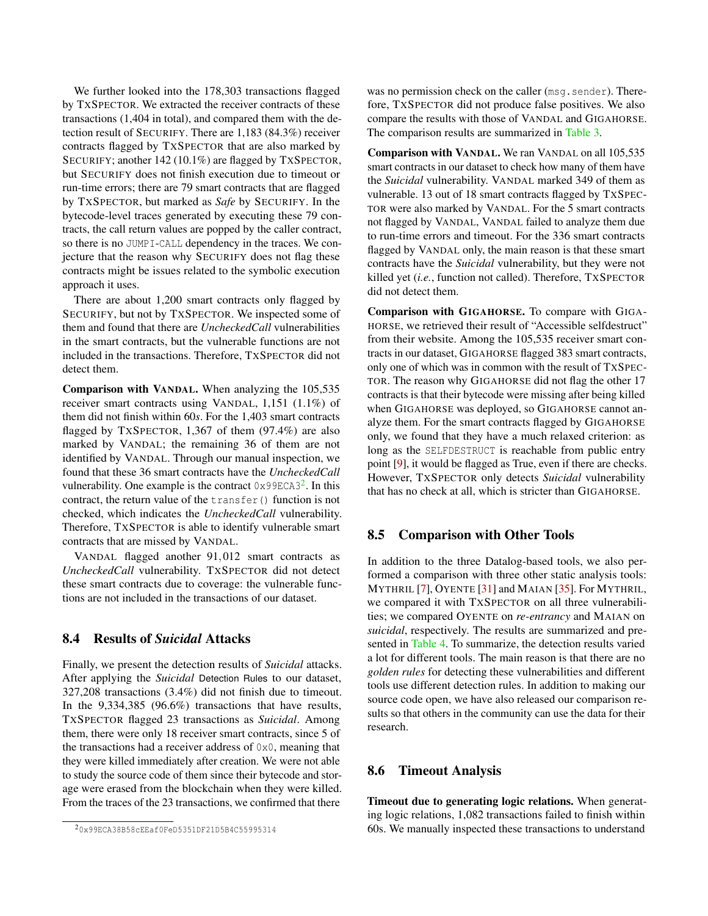We further looked into the 178,303 transactions flagged by TXSPECTOR. We extracted the receiver contracts of these transactions (1,404 in total), and compared them with the detection result of SECURIFY. There are 1,183 (84.3%) receiver contracts flagged by TXSPECTOR that are also marked by SECURIFY; another 142 (10.1%) are flagged by TXSPECTOR, but SECURIFY does not finish execution due to timeout or run-time errors; there are 79 smart contracts that are flagged by TXSPECTOR, but marked as *Safe* by SECURIFY. In the bytecode-level traces generated by executing these 79 contracts, the call return values are popped by the caller contract, so there is no JUMPI-CALL dependency in the traces. We conjecture that the reason why SECURIFY does not flag these contracts might be issues related to the symbolic execution approach it uses.

There are about 1,200 smart contracts only flagged by SECURIFY, but not by TXSPECTOR. We inspected some of them and found that there are *UncheckedCall* vulnerabilities in the smart contracts, but the vulnerable functions are not included in the transactions. Therefore, TXSPECTOR did not detect them.

Comparison with VANDAL. When analyzing the 105,535 receiver smart contracts using VANDAL, 1,151 (1.1%) of them did not finish within 60*s*. For the 1,403 smart contracts flagged by TXSPECTOR, 1,367 of them (97.4%) are also marked by VANDAL; the remaining 36 of them are not identified by VANDAL. Through our manual inspection, we found that these 36 smart contracts have the *UncheckedCall* vulnerability. One example is the contract  $0 \times 99ECA3^2$  $0 \times 99ECA3^2$ . In this contract, the return value of the transfer() function is not checked, which indicates the *UncheckedCall* vulnerability. Therefore, TXSPECTOR is able to identify vulnerable smart contracts that are missed by VANDAL.

VANDAL flagged another 91,012 smart contracts as *UncheckedCall* vulnerability. TXSPECTOR did not detect these smart contracts due to coverage: the vulnerable functions are not included in the transactions of our dataset.

### 8.4 Results of *Suicidal* Attacks

Finally, we present the detection results of *Suicidal* attacks. After applying the *Suicidal* Detection Rules to our dataset, 327,208 transactions (3.4%) did not finish due to timeout. In the 9,334,385 (96.6%) transactions that have results, TXSPECTOR flagged 23 transactions as *Suicidal*. Among them, there were only 18 receiver smart contracts, since 5 of the transactions had a receiver address of  $0x0$ , meaning that they were killed immediately after creation. We were not able to study the source code of them since their bytecode and storage were erased from the blockchain when they were killed. From the traces of the 23 transactions, we confirmed that there

was no permission check on the caller (msq.sender). Therefore, TXSPECTOR did not produce false positives. We also compare the results with those of VANDAL and GIGAHORSE. The comparison results are summarized in [Table 3.](#page-10-0)

Comparison with VANDAL. We ran VANDAL on all 105,535 smart contracts in our dataset to check how many of them have the *Suicidal* vulnerability. VANDAL marked 349 of them as vulnerable. 13 out of 18 smart contracts flagged by TXSPEC-TOR were also marked by VANDAL. For the 5 smart contracts not flagged by VANDAL, VANDAL failed to analyze them due to run-time errors and timeout. For the 336 smart contracts flagged by VANDAL only, the main reason is that these smart contracts have the *Suicidal* vulnerability, but they were not killed yet (*i.e.*, function not called). Therefore, TXSPECTOR did not detect them.

Comparison with GIGAHORSE. To compare with GIGA-HORSE, we retrieved their result of "Accessible selfdestruct" from their website. Among the 105,535 receiver smart contracts in our dataset, GIGAHORSE flagged 383 smart contracts, only one of which was in common with the result of TXSPEC-TOR. The reason why GIGAHORSE did not flag the other 17 contracts is that their bytecode were missing after being killed when GIGAHORSE was deployed, so GIGAHORSE cannot analyze them. For the smart contracts flagged by GIGAHORSE only, we found that they have a much relaxed criterion: as long as the SELFDESTRUCT is reachable from public entry point [\[9\]](#page-15-31), it would be flagged as True, even if there are checks. However, TXSPECTOR only detects *Suicidal* vulnerability that has no check at all, which is stricter than GIGAHORSE.

#### 8.5 Comparison with Other Tools

In addition to the three Datalog-based tools, we also performed a comparison with three other static analysis tools: MYTHRIL [\[7\]](#page-15-5), OYENTE [\[31\]](#page-15-6) and MAIAN [\[35\]](#page-15-14). For MYTHRIL, we compared it with TXSPECTOR on all three vulnerabilities; we compared OYENTE on *re-entrancy* and MAIAN on *suicidal*, respectively. The results are summarized and presented in [Table 4.](#page-12-0) To summarize, the detection results varied a lot for different tools. The main reason is that there are no *golden rules* for detecting these vulnerabilities and different tools use different detection rules. In addition to making our source code open, we have also released our comparison results so that others in the community can use the data for their research.

### <span id="page-11-0"></span>8.6 Timeout Analysis

Timeout due to generating logic relations. When generating logic relations, 1,082 transactions failed to finish within 60s. We manually inspected these transactions to understand

<span id="page-11-1"></span><sup>2</sup>0x99ECA38B58cEEaf0FeD5351DF21D5B4C55995314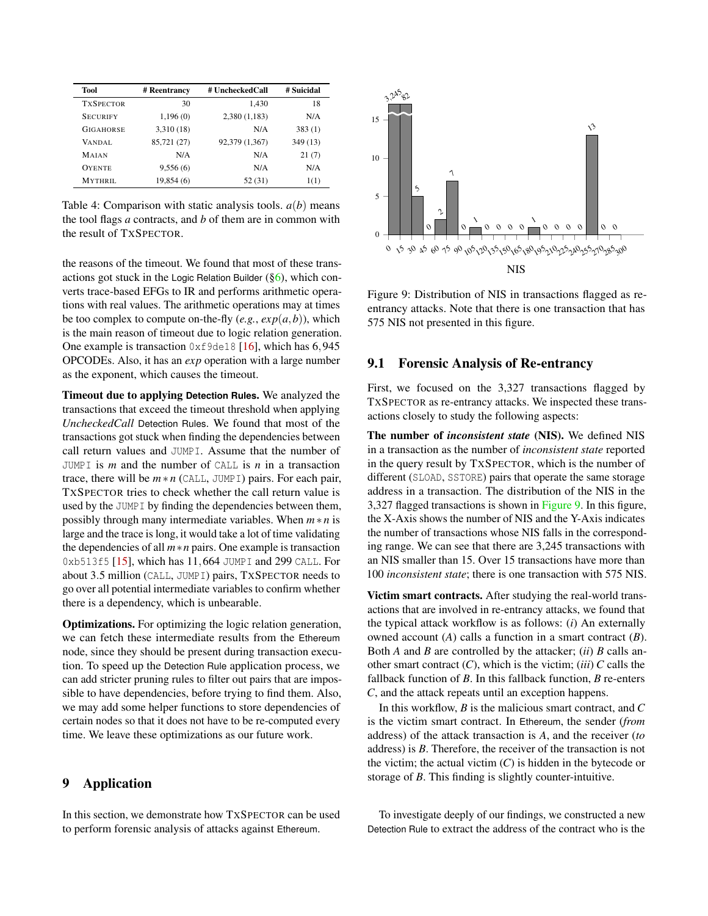<span id="page-12-0"></span>

| Tool             | # Reentrancy | # UncheckedCall | # Suicidal |
|------------------|--------------|-----------------|------------|
| <b>TXSPECTOR</b> | 30           | 1.430           | 18         |
| <b>SECURIFY</b>  | 1,196(0)     | 2,380(1,183)    | N/A        |
| GIGAHORSE        | 3,310 (18)   | N/A             | 383(1)     |
| VANDAL.          | 85,721 (27)  | 92,379 (1,367)  | 349 (13)   |
| MAIAN            | N/A          | N/A             | 21(7)      |
| <b>OYENTE</b>    | 9,556(6)     | N/A             | N/A        |
| <b>MYTHRIL</b>   | 19,854 (6)   | 52 (31)         | 1(1)       |

Table 4: Comparison with static analysis tools. *a*(*b*) means the tool flags *a* contracts, and *b* of them are in common with the result of TXSPECTOR.

the reasons of the timeout. We found that most of these transactions got stuck in the Logic Relation Builder  $(\S_6)$ , which converts trace-based EFGs to IR and performs arithmetic operations with real values. The arithmetic operations may at times be too complex to compute on-the-fly  $(e.g., exp(a, b))$ , which is the main reason of timeout due to logic relation generation. One example is transaction  $0 \times 19$ de18 [\[16\]](#page-15-33), which has 6,945 OPCODEs. Also, it has an *exp* operation with a large number as the exponent, which causes the timeout.

Timeout due to applying **Detection Rules**. We analyzed the transactions that exceed the timeout threshold when applying *UncheckedCall* Detection Rules. We found that most of the transactions got stuck when finding the dependencies between call return values and JUMPI. Assume that the number of JUMPI is *m* and the number of CALL is *n* in a transaction trace, there will be  $m * n$  (CALL, JUMPI) pairs. For each pair, TXSPECTOR tries to check whether the call return value is used by the JUMPI by finding the dependencies between them, possibly through many intermediate variables. When *m*∗ *n* is large and the trace is long, it would take a lot of time validating the dependencies of all *m*∗*n* pairs. One example is transaction  $0xb513f5$  [\[15\]](#page-15-34), which has 11,664 JUMPI and 299 CALL. For about 3.5 million (CALL, JUMPI) pairs, TXSPECTOR needs to go over all potential intermediate variables to confirm whether there is a dependency, which is unbearable.

Optimizations. For optimizing the logic relation generation, we can fetch these intermediate results from the Ethereum node, since they should be present during transaction execution. To speed up the Detection Rule application process, we can add stricter pruning rules to filter out pairs that are impossible to have dependencies, before trying to find them. Also, we may add some helper functions to store dependencies of certain nodes so that it does not have to be re-computed every time. We leave these optimizations as our future work.

## 9 Application

In this section, we demonstrate how TXSPECTOR can be used to perform forensic analysis of attacks against Ethereum.

<span id="page-12-1"></span>

Figure 9: Distribution of NIS in transactions flagged as reentrancy attacks. Note that there is one transaction that has 575 NIS not presented in this figure.

#### <span id="page-12-2"></span>9.1 Forensic Analysis of Re-entrancy

First, we focused on the 3,327 transactions flagged by TXSPECTOR as re-entrancy attacks. We inspected these transactions closely to study the following aspects:

The number of *inconsistent state* (NIS). We defined NIS in a transaction as the number of *inconsistent state* reported in the query result by TXSPECTOR, which is the number of different (SLOAD, SSTORE) pairs that operate the same storage address in a transaction. The distribution of the NIS in the 3,327 flagged transactions is shown in [Figure 9.](#page-12-1) In this figure, the X-Axis shows the number of NIS and the Y-Axis indicates the number of transactions whose NIS falls in the corresponding range. We can see that there are 3,245 transactions with an NIS smaller than 15. Over 15 transactions have more than 100 *inconsistent state*; there is one transaction with 575 NIS.

Victim smart contracts. After studying the real-world transactions that are involved in re-entrancy attacks, we found that the typical attack workflow is as follows: (*i*) An externally owned account (*A*) calls a function in a smart contract (*B*). Both *A* and *B* are controlled by the attacker; (*ii*) *B* calls another smart contract  $(C)$ , which is the victim; *(iii)*  $C$  calls the fallback function of *B*. In this fallback function, *B* re-enters *C*, and the attack repeats until an exception happens.

In this workflow, *B* is the malicious smart contract, and *C* is the victim smart contract. In Ethereum, the sender (*from* address) of the attack transaction is *A*, and the receiver (*to* address) is *B*. Therefore, the receiver of the transaction is not the victim; the actual victim  $(C)$  is hidden in the bytecode or storage of *B*. This finding is slightly counter-intuitive.

To investigate deeply of our findings, we constructed a new Detection Rule to extract the address of the contract who is the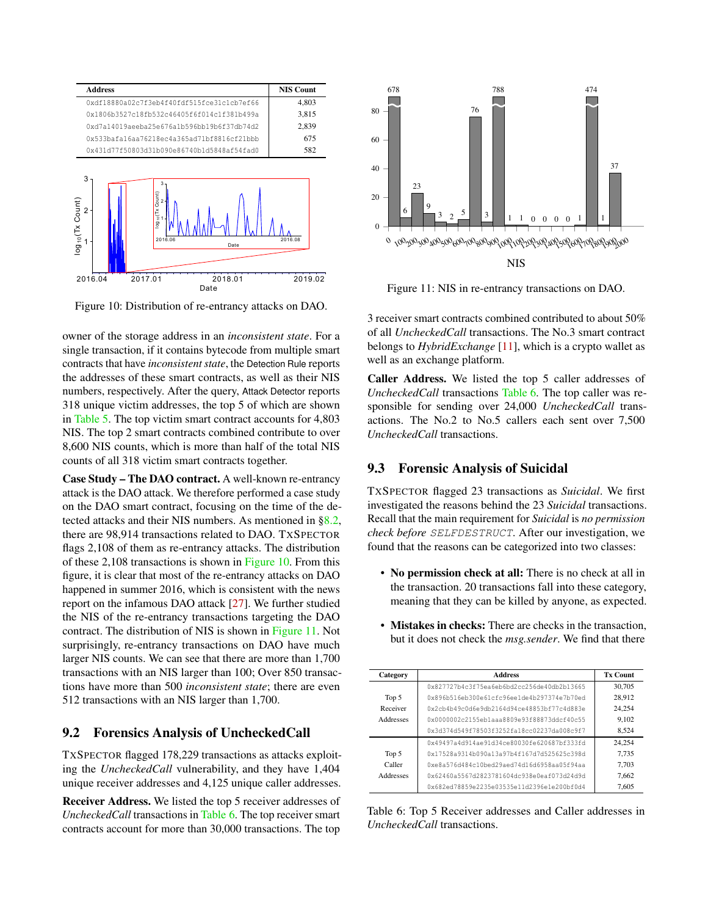<span id="page-13-1"></span><span id="page-13-0"></span>

Figure 10: Distribution of re-entrancy attacks on DAO.

owner of the storage address in an *inconsistent state*. For a single transaction, if it contains bytecode from multiple smart contracts that have *inconsistent state*, the Detection Rule reports the addresses of these smart contracts, as well as their NIS numbers, respectively. After the query, Attack Detector reports 318 unique victim addresses, the top 5 of which are shown in [Table 5.](#page-13-0) The top victim smart contract accounts for 4,803 NIS. The top 2 smart contracts combined contribute to over 8,600 NIS counts, which is more than half of the total NIS counts of all 318 victim smart contracts together.

Case Study – The DAO contract. A well-known re-entrancy attack is the DAO attack. We therefore performed a case study on the DAO smart contract, focusing on the time of the detected attacks and their NIS numbers. As mentioned in [§8.2,](#page-8-1) there are 98,914 transactions related to DAO. TXSPECTOR flags 2,108 of them as re-entrancy attacks. The distribution of these 2,108 transactions is shown in [Figure 10.](#page-13-1) From this figure, it is clear that most of the re-entrancy attacks on DAO happened in summer 2016, which is consistent with the news report on the infamous DAO attack [\[27\]](#page-15-2). We further studied the NIS of the re-entrancy transactions targeting the DAO contract. The distribution of NIS is shown in [Figure 11.](#page-13-2) Not surprisingly, re-entrancy transactions on DAO have much larger NIS counts. We can see that there are more than 1,700 transactions with an NIS larger than 100; Over 850 transactions have more than 500 *inconsistent state*; there are even 512 transactions with an NIS larger than 1,700.

#### 9.2 Forensics Analysis of UncheckedCall

TXSPECTOR flagged 178,229 transactions as attacks exploiting the *UncheckedCall* vulnerability, and they have 1,404 unique receiver addresses and 4,125 unique caller addresses.

Receiver Address. We listed the top 5 receiver addresses of *UncheckedCall* transactions in [Table 6.](#page-13-3) The top receiver smart contracts account for more than 30,000 transactions. The top

<span id="page-13-2"></span>

Figure 11: NIS in re-entrancy transactions on DAO.

3 receiver smart contracts combined contributed to about 50% of all *UncheckedCall* transactions. The No.3 smart contract belongs to *HybridExchange* [\[11\]](#page-15-35), which is a crypto wallet as well as an exchange platform.

Caller Address. We listed the top 5 caller addresses of *UncheckedCall* transactions [Table 6.](#page-13-3) The top caller was responsible for sending over 24,000 *UncheckedCall* transactions. The No.2 to No.5 callers each sent over 7,500 *UncheckedCall* transactions.

### 9.3 Forensic Analysis of Suicidal

TXSPECTOR flagged 23 transactions as *Suicidal*. We first investigated the reasons behind the 23 *Suicidal* transactions. Recall that the main requirement for *Suicidal* is *no permission check before* SELFDESTRUCT. After our investigation, we found that the reasons can be categorized into two classes:

- No permission check at all: There is no check at all in the transaction. 20 transactions fall into these category, meaning that they can be killed by anyone, as expected.
- Mistakes in checks: There are checks in the transaction, but it does not check the *msg.sender*. We find that there

<span id="page-13-3"></span>

| Category  | <b>Address</b>                             | <b>Tx Count</b> |
|-----------|--------------------------------------------|-----------------|
|           | 0x827727b4c3f75ea6eb6bd2cc256de40db2b13665 | 30,705          |
| Top 5     | 0x896b516eb300e61cfc96ee1de4b297374e7b70ed | 28,912          |
| Receiver  | 0x2cb4b49c0d6e9db2164d94ce48853bf77c4d883e | 24.254          |
| Addresses | 0x0000002c2155eblaaa8809e93f88873ddcf40c55 | 9.102           |
|           | 0x3d374d549f78503f3252fa18cc02237da008c9f7 | 8,524           |
|           | 0x49497a4d914ae91d34ce80030fe620687bf333fd | 24.254          |
| Top 5     | 0x17528a9314b090a13a97b4f167d7d525625c398d | 7.735           |
| Caller    | 0xe8a576d484c10bed29aed74d16d6958aa05f94aa | 7.703           |
| Addresses | 0x62460a5567d2823781604dc938e0eaf073d24d9d | 7.662           |
|           | 0x682ed78859e2235e03535e11d2396e1e200bf0d4 | 7.605           |

Table 6: Top 5 Receiver addresses and Caller addresses in *UncheckedCall* transactions.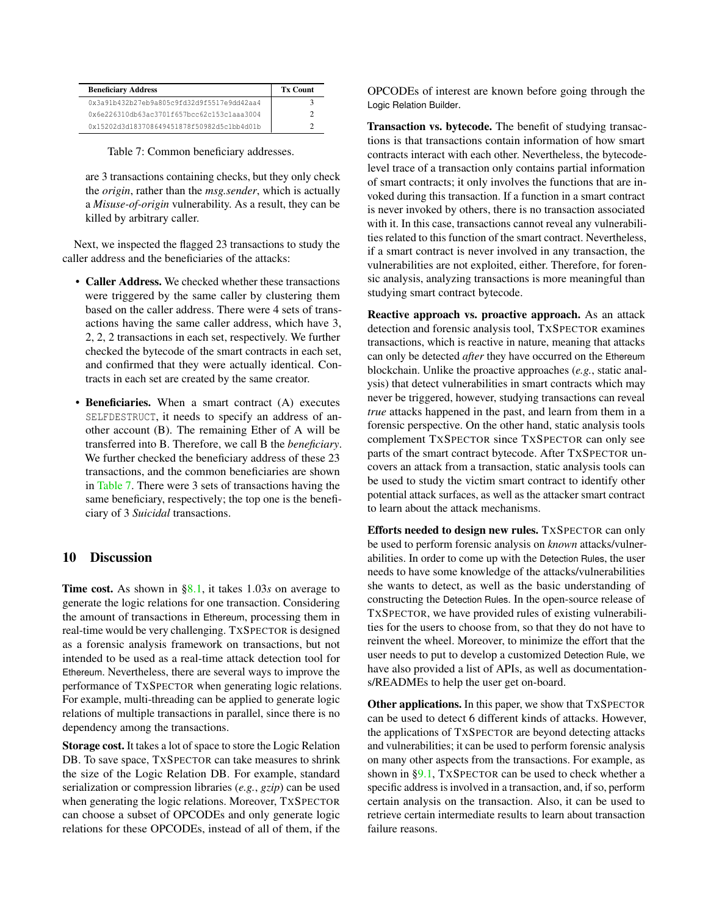<span id="page-14-0"></span>

| <b>Beneficiary Address</b>                 | <b>Tx Count</b> |
|--------------------------------------------|-----------------|
| 0x3a91b432b27eb9a805c9fd32d9f5517e9dd42aa4 |                 |
| 0x6e226310db63ac3701f657bcc62c153c1aaa3004 |                 |
| 0x15202d3d183708649451878f50982d5c1hh4d01h |                 |

Table 7: Common beneficiary addresses.

are 3 transactions containing checks, but they only check the *origin*, rather than the *msg.sender*, which is actually a *Misuse-of-origin* vulnerability. As a result, they can be killed by arbitrary caller.

Next, we inspected the flagged 23 transactions to study the caller address and the beneficiaries of the attacks:

- Caller Address. We checked whether these transactions were triggered by the same caller by clustering them based on the caller address. There were 4 sets of transactions having the same caller address, which have 3, 2, 2, 2 transactions in each set, respectively. We further checked the bytecode of the smart contracts in each set, and confirmed that they were actually identical. Contracts in each set are created by the same creator.
- Beneficiaries. When a smart contract (A) executes SELFDESTRUCT, it needs to specify an address of another account (B). The remaining Ether of A will be transferred into B. Therefore, we call B the *beneficiary*. We further checked the beneficiary address of these 23 transactions, and the common beneficiaries are shown in [Table 7.](#page-14-0) There were 3 sets of transactions having the same beneficiary, respectively; the top one is the beneficiary of 3 *Suicidal* transactions.

#### 10 Discussion

Time cost. As shown in [§8.1,](#page-8-2) it takes 1.03*s* on average to generate the logic relations for one transaction. Considering the amount of transactions in Ethereum, processing them in real-time would be very challenging. TXSPECTOR is designed as a forensic analysis framework on transactions, but not intended to be used as a real-time attack detection tool for Ethereum. Nevertheless, there are several ways to improve the performance of TXSPECTOR when generating logic relations. For example, multi-threading can be applied to generate logic relations of multiple transactions in parallel, since there is no dependency among the transactions.

Storage cost. It takes a lot of space to store the Logic Relation DB. To save space, TXSPECTOR can take measures to shrink the size of the Logic Relation DB. For example, standard serialization or compression libraries (*e.g.*, *gzip*) can be used when generating the logic relations. Moreover, TXSPECTOR can choose a subset of OPCODEs and only generate logic relations for these OPCODEs, instead of all of them, if the OPCODEs of interest are known before going through the Logic Relation Builder.

Transaction vs. bytecode. The benefit of studying transactions is that transactions contain information of how smart contracts interact with each other. Nevertheless, the bytecodelevel trace of a transaction only contains partial information of smart contracts; it only involves the functions that are invoked during this transaction. If a function in a smart contract is never invoked by others, there is no transaction associated with it. In this case, transactions cannot reveal any vulnerabilities related to this function of the smart contract. Nevertheless, if a smart contract is never involved in any transaction, the vulnerabilities are not exploited, either. Therefore, for forensic analysis, analyzing transactions is more meaningful than studying smart contract bytecode.

Reactive approach vs. proactive approach. As an attack detection and forensic analysis tool, TXSPECTOR examines transactions, which is reactive in nature, meaning that attacks can only be detected *after* they have occurred on the Ethereum blockchain. Unlike the proactive approaches (*e.g.*, static analysis) that detect vulnerabilities in smart contracts which may never be triggered, however, studying transactions can reveal *true* attacks happened in the past, and learn from them in a forensic perspective. On the other hand, static analysis tools complement TXSPECTOR since TXSPECTOR can only see parts of the smart contract bytecode. After TXSPECTOR uncovers an attack from a transaction, static analysis tools can be used to study the victim smart contract to identify other potential attack surfaces, as well as the attacker smart contract to learn about the attack mechanisms.

Efforts needed to design new rules. TXSPECTOR can only be used to perform forensic analysis on *known* attacks/vulnerabilities. In order to come up with the Detection Rules, the user needs to have some knowledge of the attacks/vulnerabilities she wants to detect, as well as the basic understanding of constructing the Detection Rules. In the open-source release of TXSPECTOR, we have provided rules of existing vulnerabilities for the users to choose from, so that they do not have to reinvent the wheel. Moreover, to minimize the effort that the user needs to put to develop a customized Detection Rule, we have also provided a list of APIs, as well as documentations/READMEs to help the user get on-board.

Other applications. In this paper, we show that TXSPECTOR can be used to detect 6 different kinds of attacks. However, the applications of TXSPECTOR are beyond detecting attacks and vulnerabilities; it can be used to perform forensic analysis on many other aspects from the transactions. For example, as shown in [§9.1,](#page-12-2) TXSPECTOR can be used to check whether a specific address is involved in a transaction, and, if so, perform certain analysis on the transaction. Also, it can be used to retrieve certain intermediate results to learn about transaction failure reasons.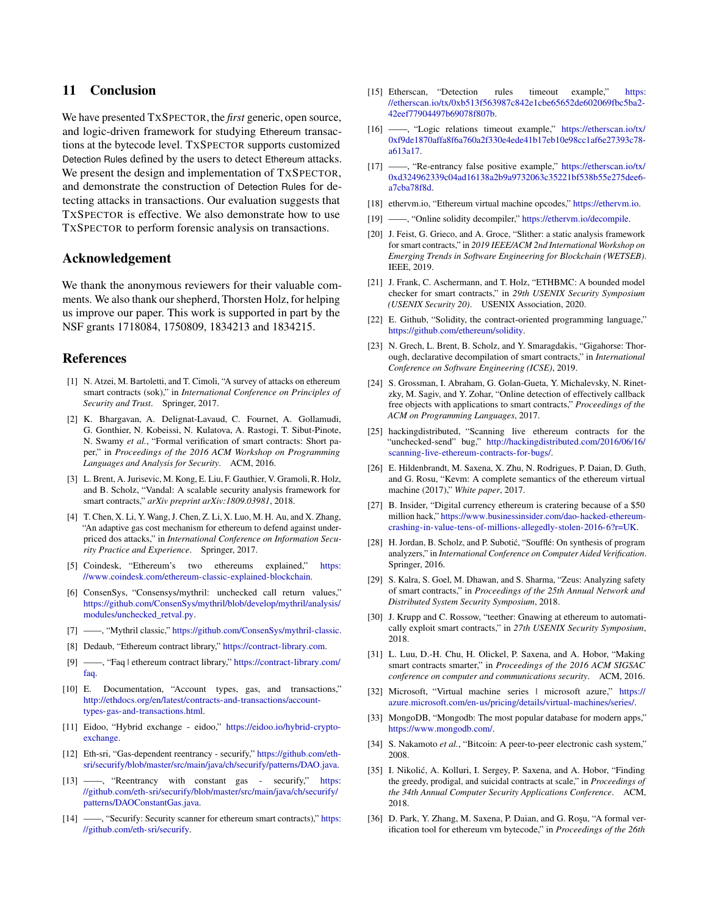### 11 Conclusion

We have presented TXSPECTOR, the *first* generic, open source, and logic-driven framework for studying Ethereum transactions at the bytecode level. TXSPECTOR supports customized Detection Rules defined by the users to detect Ethereum attacks. We present the design and implementation of TXSPECTOR, and demonstrate the construction of Detection Rules for detecting attacks in transactions. Our evaluation suggests that TXSPECTOR is effective. We also demonstrate how to use TXSPECTOR to perform forensic analysis on transactions.

### Acknowledgement

We thank the anonymous reviewers for their valuable comments. We also thank our shepherd, Thorsten Holz, for helping us improve our paper. This work is supported in part by the NSF grants 1718084, 1750809, 1834213 and 1834215.

### References

- <span id="page-15-3"></span>[1] N. Atzei, M. Bartoletti, and T. Cimoli, "A survey of attacks on ethereum smart contracts (sok)," in *International Conference on Principles of Security and Trust*. Springer, 2017.
- <span id="page-15-7"></span>[2] K. Bhargavan, A. Delignat-Lavaud, C. Fournet, A. Gollamudi, G. Gonthier, N. Kobeissi, N. Kulatova, A. Rastogi, T. Sibut-Pinote, N. Swamy *et al.*, "Formal verification of smart contracts: Short paper," in *Proceedings of the 2016 ACM Workshop on Programming Languages and Analysis for Security*. ACM, 2016.
- <span id="page-15-4"></span>[3] L. Brent, A. Jurisevic, M. Kong, E. Liu, F. Gauthier, V. Gramoli, R. Holz, and B. Scholz, "Vandal: A scalable security analysis framework for smart contracts," *arXiv preprint arXiv:1809.03981*, 2018.
- <span id="page-15-10"></span>[4] T. Chen, X. Li, Y. Wang, J. Chen, Z. Li, X. Luo, M. H. Au, and X. Zhang, "An adaptive gas cost mechanism for ethereum to defend against underpriced dos attacks," in *International Conference on Information Security Practice and Experience*. Springer, 2017.
- <span id="page-15-32"></span>[5] Coindesk, "Ethereum's two ethereums explained," [https:](https://www.coindesk.com/ethereum-classic-explained-blockchain) //www.coindesk.[com/ethereum-classic-explained-blockchain.](https://www.coindesk.com/ethereum-classic-explained-blockchain)
- <span id="page-15-22"></span>[6] ConsenSys, "Consensys/mythril: unchecked call return values," https://github.[com/ConsenSys/mythril/blob/develop/mythril/analysis/](https://github.com/ConsenSys/mythril/blob/develop/mythril/analysis/modules/unchecked_retval.py) [modules/unchecked\\_retval](https://github.com/ConsenSys/mythril/blob/develop/mythril/analysis/modules/unchecked_retval.py).py.
- <span id="page-15-5"></span>[7] ——, "Mythril classic," https://github.[com/ConsenSys/mythril-classic.](https://github.com/ConsenSys/mythril-classic)
- <span id="page-15-30"></span>[8] Dedaub, "Ethereum contract library," [https://contract-library](https://contract-library.com).com.
- <span id="page-15-31"></span>[9] ——, "Faq | ethereum contract library," [https://contract-library](https://contract-library.com/faq).com/ [faq.](https://contract-library.com/faq)
- <span id="page-15-11"></span>[10] E. Documentation, "Account types, gas, and transactions," http://ethdocs.[org/en/latest/contracts-and-transactions/account](http://ethdocs.org/en/latest/contracts-and-transactions/account-types-gas-and-transactions.html)[types-gas-and-transactions](http://ethdocs.org/en/latest/contracts-and-transactions/account-types-gas-and-transactions.html).html.
- <span id="page-15-35"></span>[11] Eidoo, "Hybrid exchange - eidoo," https://eidoo.[io/hybrid-crypto](https://eidoo.io/hybrid-crypto-exchange)[exchange.](https://eidoo.io/hybrid-crypto-exchange)
- <span id="page-15-28"></span>[12] Eth-sri, "Gas-dependent reentrancy - securify," [https://github](https://github.com/eth-sri/securify/blob/master/src/main/java/ch/securify/patterns/DAO.java).com/eth[sri/securify/blob/master/src/main/java/ch/securify/patterns/DAO](https://github.com/eth-sri/securify/blob/master/src/main/java/ch/securify/patterns/DAO.java).java.
- <span id="page-15-29"></span>[13] ——, "Reentrancy with constant gas - securify," [https:](https://github.com/eth-sri/securify/blob/master/src/main/java/ch/securify/patterns/DAOConstantGas.java) //github.[com/eth-sri/securify/blob/master/src/main/java/ch/securify/](https://github.com/eth-sri/securify/blob/master/src/main/java/ch/securify/patterns/DAOConstantGas.java) [patterns/DAOConstantGas](https://github.com/eth-sri/securify/blob/master/src/main/java/ch/securify/patterns/DAOConstantGas.java).java.
- <span id="page-15-27"></span>[14] ——, "Securify: Security scanner for ethereum smart contracts)," [https:](https://github.com/eth-sri/securify) //github.[com/eth-sri/securify.](https://github.com/eth-sri/securify)
- <span id="page-15-34"></span>[15] Etherscan, "Detection rules timeout example," [https:](https://etherscan.io/tx/0xb513f563987c842e1cbe65652de602069fbc5ba2-42eef77904497b69078f807b) //etherscan.[io/tx/0xb513f563987c842e1cbe65652de602069fbc5ba2-](https://etherscan.io/tx/0xb513f563987c842e1cbe65652de602069fbc5ba2-42eef77904497b69078f807b) [42eef77904497b69078f807b.](https://etherscan.io/tx/0xb513f563987c842e1cbe65652de602069fbc5ba2-42eef77904497b69078f807b)
- <span id="page-15-33"></span>[16] ——, "Logic relations timeout example," [https://etherscan](https://etherscan.io/tx/0xf9de1870affa8f6a760a2f330e4ede41b17eb10e98cc1af6e27393c78-a613a17).io/tx/ [0xf9de1870affa8f6a760a2f330e4ede41b17eb10e98cc1af6e27393c78](https://etherscan.io/tx/0xf9de1870affa8f6a760a2f330e4ede41b17eb10e98cc1af6e27393c78-a613a17) [a613a17.](https://etherscan.io/tx/0xf9de1870affa8f6a760a2f330e4ede41b17eb10e98cc1af6e27393c78-a613a17)
- <span id="page-15-26"></span>[17] ——, "Re-entrancy false positive example," [https://etherscan](https://etherscan.io/tx/0xd324962339c04ad16138a2b9a9732063c35221bf538b55e275dee6-a7cba78f8d).io/tx/ [0xd324962339c04ad16138a2b9a9732063c35221bf538b55e275dee6](https://etherscan.io/tx/0xd324962339c04ad16138a2b9a9732063c35221bf538b55e275dee6-a7cba78f8d) [a7cba78f8d.](https://etherscan.io/tx/0xd324962339c04ad16138a2b9a9732063c35221bf538b55e275dee6-a7cba78f8d)
- <span id="page-15-9"></span>[18] ethervm.io, "Ethereum virtual machine opcodes," [https://ethervm](https://ethervm.io).io.
- <span id="page-15-25"></span>[19] - folline solidity decompiler," [https://ethervm](https://ethervm.io/decompile).io/decompile.
- <span id="page-15-15"></span>[20] J. Feist, G. Grieco, and A. Groce, "Slither: a static analysis framework for smart contracts," in *2019 IEEE/ACM 2nd International Workshop on Emerging Trends in Software Engineering for Blockchain (WETSEB)*. IEEE, 2019.
- <span id="page-15-16"></span>[21] J. Frank, C. Aschermann, and T. Holz, "ETHBMC: A bounded model checker for smart contracts," in *29th USENIX Security Symposium (USENIX Security 20)*. USENIX Association, 2020.
- <span id="page-15-1"></span>[22] E. Github, "Solidity, the contract-oriented programming language," https://github.[com/ethereum/solidity.](https://github.com/ethereum/solidity)
- <span id="page-15-13"></span>[23] N. Grech, L. Brent, B. Scholz, and Y. Smaragdakis, "Gigahorse: Thorough, declarative decompilation of smart contracts," in *International Conference on Software Engineering (ICSE)*, 2019.
- <span id="page-15-12"></span>[24] S. Grossman, I. Abraham, G. Golan-Gueta, Y. Michalevsky, N. Rinetzky, M. Sagiv, and Y. Zohar, "Online detection of effectively callback free objects with applications to smart contracts," *Proceedings of the ACM on Programming Languages*, 2017.
- <span id="page-15-21"></span>[25] hackingdistributed, "Scanning live ethereum contracts for the "unchecked-send" bug," [http://hackingdistributed](http://hackingdistributed.com/2016/06/16/scanning-live-ethereum-contracts-for-bugs/).com/2016/06/16/ [scanning-live-ethereum-contracts-for-bugs/.](http://hackingdistributed.com/2016/06/16/scanning-live-ethereum-contracts-for-bugs/)
- <span id="page-15-18"></span>[26] E. Hildenbrandt, M. Saxena, X. Zhu, N. Rodrigues, P. Daian, D. Guth, and G. Rosu, "Kevm: A complete semantics of the ethereum virtual machine (2017)," *White paper*, 2017.
- <span id="page-15-2"></span>[27] B. Insider, "Digital currency ethereum is cratering because of a \$50 million hack," https://www.businessinsider.[com/dao-hacked-ethereum](https://www.businessinsider.com/dao-hacked-ethereum-crashing-in-value-tens-of-millions-allegedly-stolen-2016-6?r=UK)[crashing-in-value-tens-of-millions-allegedly-stolen-2016-6?r=UK.](https://www.businessinsider.com/dao-hacked-ethereum-crashing-in-value-tens-of-millions-allegedly-stolen-2016-6?r=UK)
- <span id="page-15-20"></span>[28] H. Jordan, B. Scholz, and P. Subotić, "Soufflé: On synthesis of program analyzers," in *International Conference on Computer Aided Verification*. Springer, 2016.
- <span id="page-15-8"></span>[29] S. Kalra, S. Goel, M. Dhawan, and S. Sharma, "Zeus: Analyzing safety of smart contracts," in *Proceedings of the 25th Annual Network and Distributed System Security Symposium*, 2018.
- <span id="page-15-17"></span>[30] J. Krupp and C. Rossow, "teether: Gnawing at ethereum to automatically exploit smart contracts," in *27th USENIX Security Symposium*, 2018.
- <span id="page-15-6"></span>[31] L. Luu, D.-H. Chu, H. Olickel, P. Saxena, and A. Hobor, "Making smart contracts smarter," in *Proceedings of the 2016 ACM SIGSAC conference on computer and communications security*. ACM, 2016.
- <span id="page-15-23"></span>[32] Microsoft, "Virtual machine series | microsoft azure," [https://](https://azure.microsoft.com/en-us/pricing/details/virtual-machines/series/) azure.microsoft.[com/en-us/pricing/details/virtual-machines/series/.](https://azure.microsoft.com/en-us/pricing/details/virtual-machines/series/)
- <span id="page-15-24"></span>[33] MongoDB, "Mongodb: The most popular database for modern apps," [https://www](https://www.mongodb.com/).mongodb.com/.
- <span id="page-15-0"></span>[34] S. Nakamoto et al., "Bitcoin: A peer-to-peer electronic cash system," 2008.
- <span id="page-15-14"></span>[35] I. Nikolić, A. Kolluri, I. Sergey, P. Saxena, and A. Hobor, "Finding the greedy, prodigal, and suicidal contracts at scale," in *Proceedings of the 34th Annual Computer Security Applications Conference*. ACM, 2018.
- <span id="page-15-19"></span>[36] D. Park, Y. Zhang, M. Saxena, P. Daian, and G. Rosu, "A formal verification tool for ethereum vm bytecode," in *Proceedings of the 26th*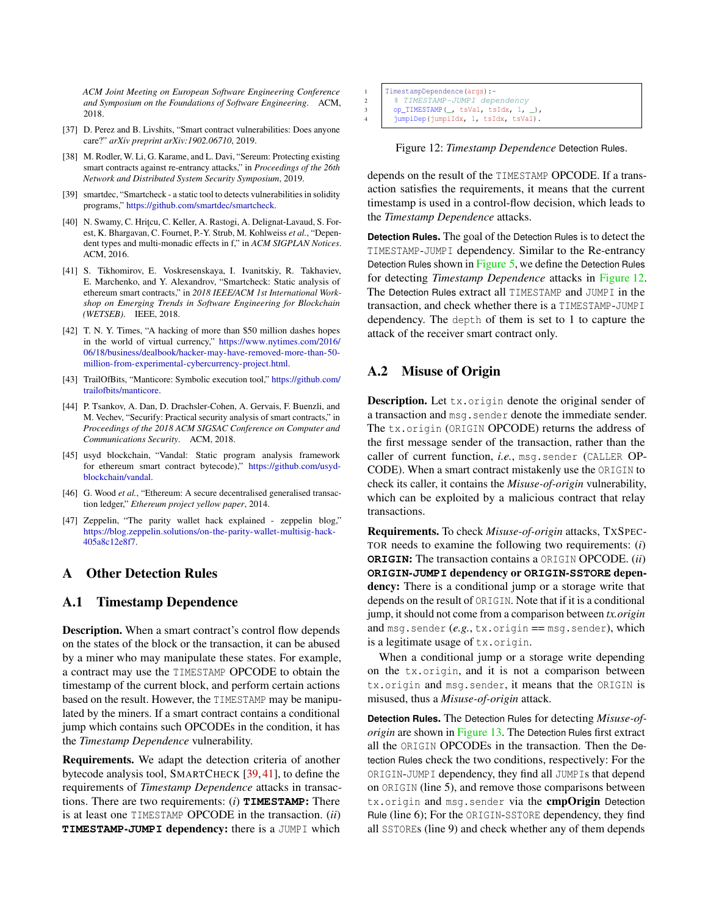*ACM Joint Meeting on European Software Engineering Conference and Symposium on the Foundations of Software Engineering*. ACM, 2018.

- <span id="page-16-6"></span>[37] D. Perez and B. Livshits, "Smart contract vulnerabilities: Does anyone care?" *arXiv preprint arXiv:1902.06710*, 2019.
- <span id="page-16-7"></span>[38] M. Rodler, W. Li, G. Karame, and L. Davi, "Sereum: Protecting existing smart contracts against re-entrancy attacks," in *Proceedings of the 26th Network and Distributed System Security Symposium*, 2019.
- <span id="page-16-12"></span>[39] smartdec, "Smartcheck - a static tool to detects vulnerabilities in solidity programs," https://github.[com/smartdec/smartcheck.](https://github.com/smartdec/smartcheck)
- <span id="page-16-8"></span>[40] N. Swamy, C. Hriţcu, C. Keller, A. Rastogi, A. Delignat-Lavaud, S. Forest, K. Bhargavan, C. Fournet, P.-Y. Strub, M. Kohlweiss *et al.*, "Dependent types and multi-monadic effects in f," in *ACM SIGPLAN Notices*. ACM, 2016.
- <span id="page-16-13"></span>[41] S. Tikhomirov, E. Voskresenskaya, I. Ivanitskiy, R. Takhaviev, E. Marchenko, and Y. Alexandrov, "Smartcheck: Static analysis of ethereum smart contracts," in *2018 IEEE/ACM 1st International Workshop on Emerging Trends in Software Engineering for Blockchain (WETSEB)*. IEEE, 2018.
- <span id="page-16-0"></span>[42] T. N. Y. Times, "A hacking of more than \$50 million dashes hopes in the world of virtual currency," [https://www](https://www.nytimes.com/2016/06/18/business/dealbook/hacker-may-have-removed-more-than-50-million-from-experimental-cybercurrency-project.html).nytimes.com/2016/ [06/18/business/dealbook/hacker-may-have-removed-more-than-50](https://www.nytimes.com/2016/06/18/business/dealbook/hacker-may-have-removed-more-than-50-million-from-experimental-cybercurrency-project.html) [million-from-experimental-cybercurrency-project](https://www.nytimes.com/2016/06/18/business/dealbook/hacker-may-have-removed-more-than-50-million-from-experimental-cybercurrency-project.html).html.
- <span id="page-16-2"></span>[43] TrailOfBits, "Manticore: Symbolic execution tool," [https://github](https://github.com/trailofbits/manticore).com/ [trailofbits/manticore.](https://github.com/trailofbits/manticore)
- <span id="page-16-3"></span>[44] P. Tsankov, A. Dan, D. Drachsler-Cohen, A. Gervais, F. Buenzli, and M. Vechev, "Securify: Practical security analysis of smart contracts," in *Proceedings of the 2018 ACM SIGSAC Conference on Computer and Communications Security*. ACM, 2018.
- <span id="page-16-11"></span>[45] usyd blockchain, "Vandal: Static program analysis framework for ethereum smart contract bytecode)," [https://github](https://github.com/usyd-blockchain/vandal).com/usyd[blockchain/vandal.](https://github.com/usyd-blockchain/vandal)
- <span id="page-16-5"></span>[46] G. Wood et al., "Ethereum: A secure decentralised generalised transaction ledger," *Ethereum project yellow paper*, 2014.
- <span id="page-16-1"></span>[47] Zeppelin, "The parity wallet hack explained - zeppelin blog," https://blog.zeppelin.[solutions/on-the-parity-wallet-multisig-hack-](https://blog.zeppelin.solutions/on-the-parity-wallet-multisig-hack-405a8c12e8f7)[405a8c12e8f7.](https://blog.zeppelin.solutions/on-the-parity-wallet-multisig-hack-405a8c12e8f7)

### <span id="page-16-4"></span>A Other Detection Rules

### <span id="page-16-9"></span>A.1 Timestamp Dependence

Description. When a smart contract's control flow depends on the states of the block or the transaction, it can be abused by a miner who may manipulate these states. For example, a contract may use the TIMESTAMP OPCODE to obtain the timestamp of the current block, and perform certain actions based on the result. However, the TIMESTAMP may be manipulated by the miners. If a smart contract contains a conditional jump which contains such OPCODEs in the condition, it has the *Timestamp Dependence* vulnerability.

Requirements. We adapt the detection criteria of another bytecode analysis tool, SMARTCHECK [\[39,](#page-16-12) [41\]](#page-16-13), to define the requirements of *Timestamp Dependence* attacks in transactions. There are two requirements: (*i*) **TIMESTAMP**: There is at least one TIMESTAMP OPCODE in the transaction. (*ii*) **TIMESTAMP**-**JUMPI** dependency: there is a JUMPI which

<span id="page-16-14"></span>

| TimestampDependence(args):-            |
|----------------------------------------|
| % TIMESTAMP-JUMPI dependency           |
| op_TIMESTAMP(_, tsVal, tsIdx, $1,$ _), |
| jumpiDep(jumpiIdx, 1, tsIdx, tsVal).   |

Figure 12: *Timestamp Dependence* Detection Rules.

depends on the result of the TIMESTAMP OPCODE. If a transaction satisfies the requirements, it means that the current timestamp is used in a control-flow decision, which leads to the *Timestamp Dependence* attacks.

**Detection Rules**. The goal of the Detection Rules is to detect the TIMESTAMP-JUMPI dependency. Similar to the Re-entrancy Detection Rules shown in [Figure 5,](#page-7-1) we define the Detection Rules for detecting *Timestamp Dependence* attacks in [Figure 12.](#page-16-14) The Detection Rules extract all TIMESTAMP and JUMPI in the transaction, and check whether there is a TIMESTAMP-JUMPI dependency. The depth of them is set to 1 to capture the attack of the receiver smart contract only.

### <span id="page-16-10"></span>A.2 Misuse of Origin

Description. Let tx.origin denote the original sender of a transaction and msg.sender denote the immediate sender. The tx.origin (ORIGIN OPCODE) returns the address of the first message sender of the transaction, rather than the caller of current function, *i.e.*, msg.sender (CALLER OP-CODE). When a smart contract mistakenly use the ORIGIN to check its caller, it contains the *Misuse-of-origin* vulnerability, which can be exploited by a malicious contract that relay transactions.

Requirements. To check *Misuse-of-origin* attacks, TXSPEC-TOR needs to examine the following two requirements: (*i*) **ORIGIN**: The transaction contains a ORIGIN OPCODE. (*ii*) **ORIGIN**-**JUMPI** dependency or **ORIGIN**-**SSTORE** dependency: There is a conditional jump or a storage write that depends on the result of ORIGIN. Note that if it is a conditional jump, it should not come from a comparison between *tx.origin* and msg.sender (*e.g.*, tx.origin == msg.sender), which is a legitimate usage of tx.origin.

When a conditional jump or a storage write depending on the tx.origin, and it is not a comparison between tx.origin and msg.sender, it means that the ORIGIN is misused, thus a *Misuse-of-origin* attack.

**Detection Rules**. The Detection Rules for detecting *Misuse-oforigin* are shown in [Figure 13.](#page-17-2) The Detection Rules first extract all the ORIGIN OPCODEs in the transaction. Then the Detection Rules check the two conditions, respectively: For the ORIGIN-JUMPI dependency, they find all JUMPIs that depend on ORIGIN (line 5), and remove those comparisons between tx.origin and msg.sender via the cmpOrigin Detection Rule (line 6); For the ORIGIN-SSTORE dependency, they find all SSTOREs (line 9) and check whether any of them depends